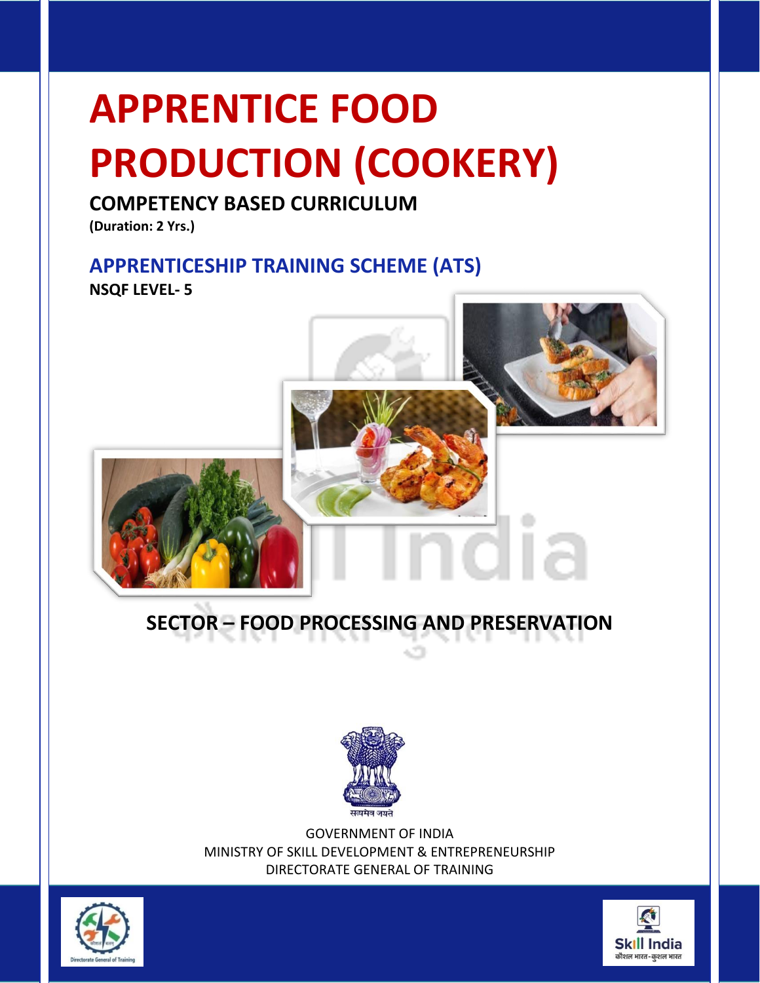# **APPRENTICE FOOD PRODUCTION (COOKERY)**

# **COMPETENCY BASED CURRICULUM**

**(Duration: 2 Yrs.)**

# **APPRENTICESHIP TRAINING SCHEME (ATS)**

**NSQF LEVEL- 5**



# **SECTOR – FOOD PROCESSING AND PRESERVATION**



GOVERNMENT OF INDIA MINISTRY OF SKILL DEVELOPMENT & ENTREPRENEURSHIP DIRECTORATE GENERAL OF TRAINING



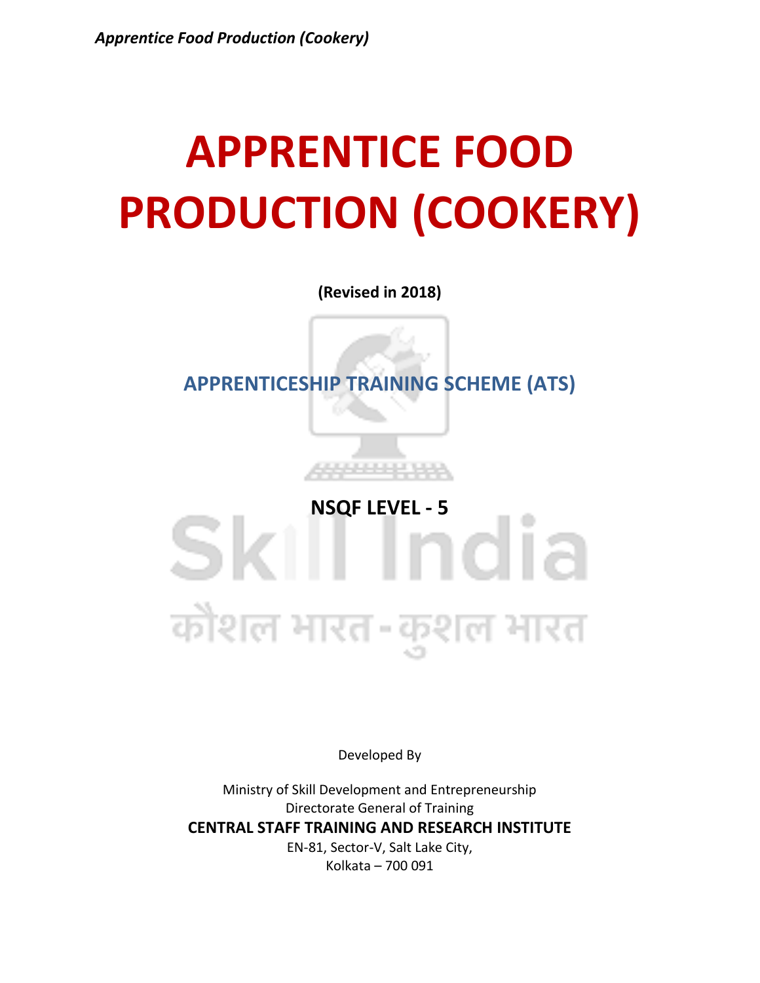# **APPRENTICE FOOD PRODUCTION (COOKERY)**

**(Revised in 2018)**

**APPRENTICESHIP TRAINING SCHEME (ATS)**

**SKI n**sQF LEVEL - 5<br> **5** कौशल भारत-कुशल भारत

Developed By

Ministry of Skill Development and Entrepreneurship Directorate General of Training **CENTRAL STAFF TRAINING AND RESEARCH INSTITUTE** EN-81, Sector-V, Salt Lake City, Kolkata – 700 091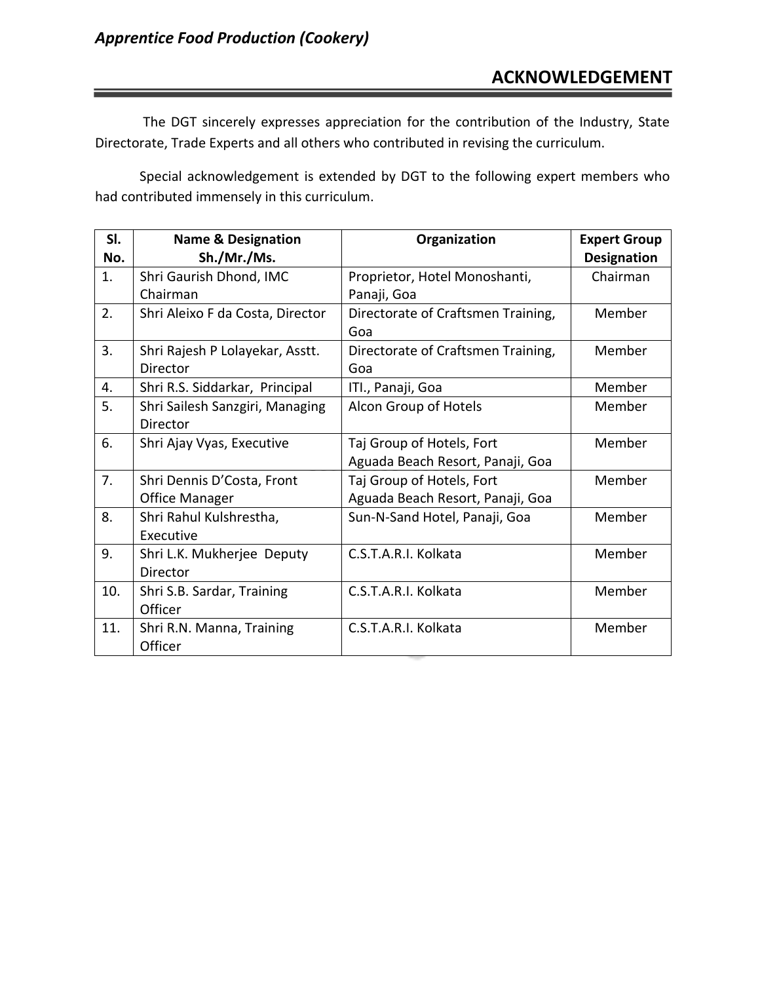### **ACKNOWLEDGEMENT**

The DGT sincerely expresses appreciation for the contribution of the Industry, State Directorate, Trade Experts and all others who contributed in revising the curriculum.

Special acknowledgement is extended by DGT to the following expert members who had contributed immensely in this curriculum.

| SI. | <b>Name &amp; Designation</b>    | Organization                       | <b>Expert Group</b> |
|-----|----------------------------------|------------------------------------|---------------------|
| No. | Sh./Mr./Ms.                      |                                    | Designation         |
| 1.  | Shri Gaurish Dhond, IMC          | Proprietor, Hotel Monoshanti,      | Chairman            |
|     | Chairman                         | Panaji, Goa                        |                     |
| 2.  | Shri Aleixo F da Costa, Director | Directorate of Craftsmen Training, | Member              |
|     |                                  | Goa                                |                     |
| 3.  | Shri Rajesh P Lolayekar, Asstt.  | Directorate of Craftsmen Training, | Member              |
|     | Director                         | Goa                                |                     |
| 4.  | Shri R.S. Siddarkar, Principal   | ITI., Panaji, Goa                  | Member              |
| 5.  | Shri Sailesh Sanzgiri, Managing  | Alcon Group of Hotels              | Member              |
|     | Director                         |                                    |                     |
| 6.  | Shri Ajay Vyas, Executive        | Taj Group of Hotels, Fort          | Member              |
|     |                                  | Aguada Beach Resort, Panaji, Goa   |                     |
| 7.  | Shri Dennis D'Costa, Front       | Taj Group of Hotels, Fort          | Member              |
|     | <b>Office Manager</b>            | Aguada Beach Resort, Panaji, Goa   |                     |
| 8.  | Shri Rahul Kulshrestha,          | Sun-N-Sand Hotel, Panaji, Goa      | Member              |
|     | Executive                        |                                    |                     |
| 9.  | Shri L.K. Mukherjee Deputy       | C.S.T.A.R.I. Kolkata               | Member              |
|     | Director                         |                                    |                     |
| 10. | Shri S.B. Sardar, Training       | C.S.T.A.R.I. Kolkata               | Member              |
|     | Officer                          |                                    |                     |
| 11. | Shri R.N. Manna, Training        | C.S.T.A.R.I. Kolkata               | Member              |
|     | Officer                          |                                    |                     |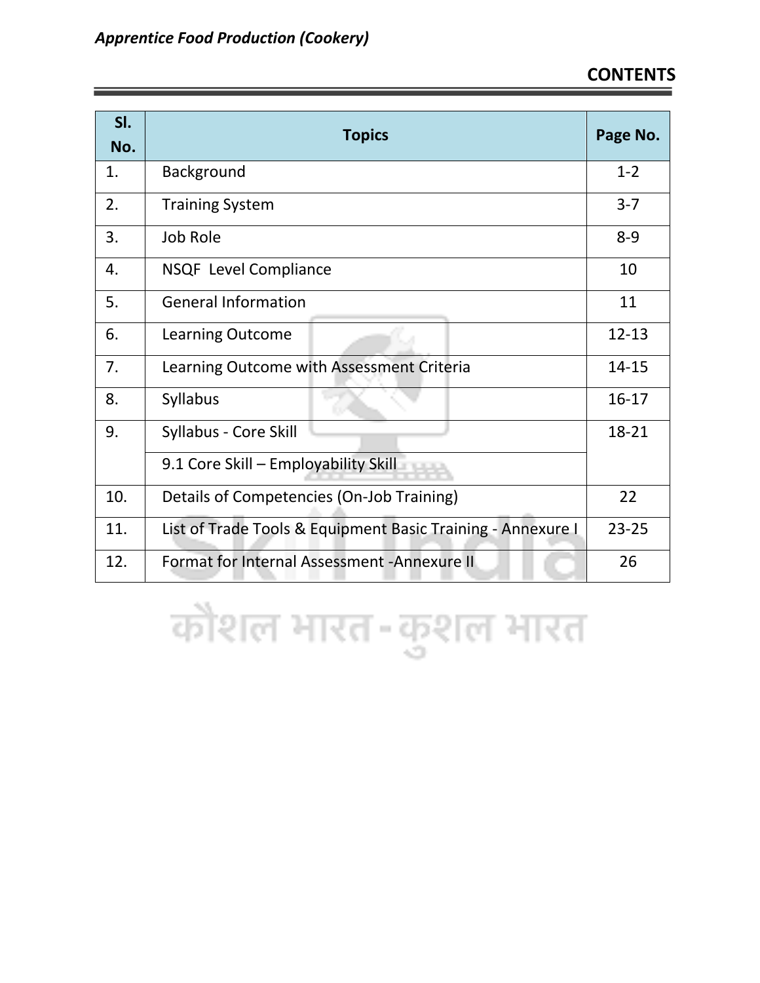| SI.<br>No. | <b>Topics</b>                                               | Page No.  |
|------------|-------------------------------------------------------------|-----------|
| 1.         | Background                                                  | $1 - 2$   |
| 2.         | <b>Training System</b>                                      | $3 - 7$   |
| 3.         | Job Role                                                    | $8 - 9$   |
| 4.         | <b>NSQF Level Compliance</b>                                | 10        |
| 5.         | <b>General Information</b>                                  | 11        |
| 6.         | <b>Learning Outcome</b>                                     | $12 - 13$ |
| 7.         | Learning Outcome with Assessment Criteria                   |           |
| 8.         | <b>Syllabus</b>                                             | $16 - 17$ |
| 9.         | Syllabus - Core Skill                                       | 18-21     |
|            | 9.1 Core Skill - Employability Skill                        |           |
| 10.        | Details of Competencies (On-Job Training)                   |           |
| 11.        | List of Trade Tools & Equipment Basic Training - Annexure I |           |
| 12.        | Format for Internal Assessment - Annexure II                | 26        |

कौशल भारत-कुशल भारत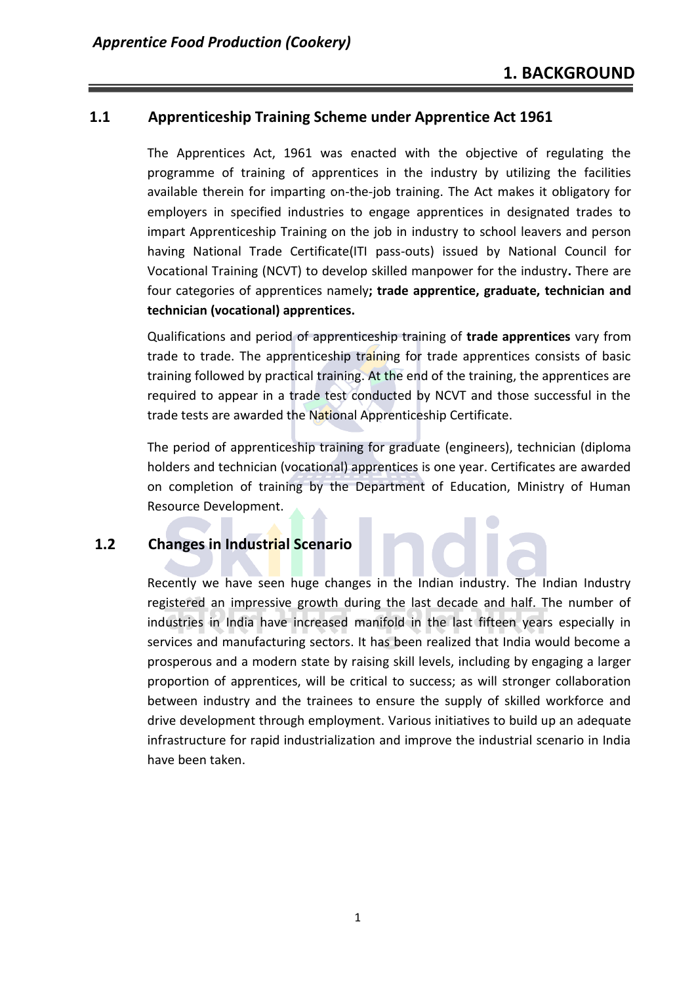#### **1.1 Apprenticeship Training Scheme under Apprentice Act 1961**

The Apprentices Act, 1961 was enacted with the objective of regulating the programme of training of apprentices in the industry by utilizing the facilities available therein for imparting on-the-job training. The Act makes it obligatory for employers in specified industries to engage apprentices in designated trades to impart Apprenticeship Training on the job in industry to school leavers and person having National Trade Certificate(ITI pass-outs) issued by National Council for Vocational Training (NCVT) to develop skilled manpower for the industry**.** There are four categories of apprentices namely**; trade apprentice, graduate, technician and technician (vocational) apprentices.** 

Qualifications and period of apprenticeship training of **trade apprentices** vary from trade to trade. The apprenticeship training for trade apprentices consists of basic training followed by practical training. At the end of the training, the apprentices are required to appear in a trade test conducted by NCVT and those successful in the trade tests are awarded the National Apprenticeship Certificate.

The period of apprenticeship training for graduate (engineers), technician (diploma holders and technician (vocational) apprentices is one year. Certificates are awarded on completion of training by the Department of Education, Ministry of Human Resource Development.

#### **1.2 Changes in Industrial Scenario**

Recently we have seen huge changes in the Indian industry. The Indian Industry registered an impressive growth during the last decade and half. The number of industries in India have increased manifold in the last fifteen years especially in services and manufacturing sectors. It has been realized that India would become a prosperous and a modern state by raising skill levels, including by engaging a larger proportion of apprentices, will be critical to success; as will stronger collaboration between industry and the trainees to ensure the supply of skilled workforce and drive development through employment. Various initiatives to build up an adequate infrastructure for rapid industrialization and improve the industrial scenario in India have been taken.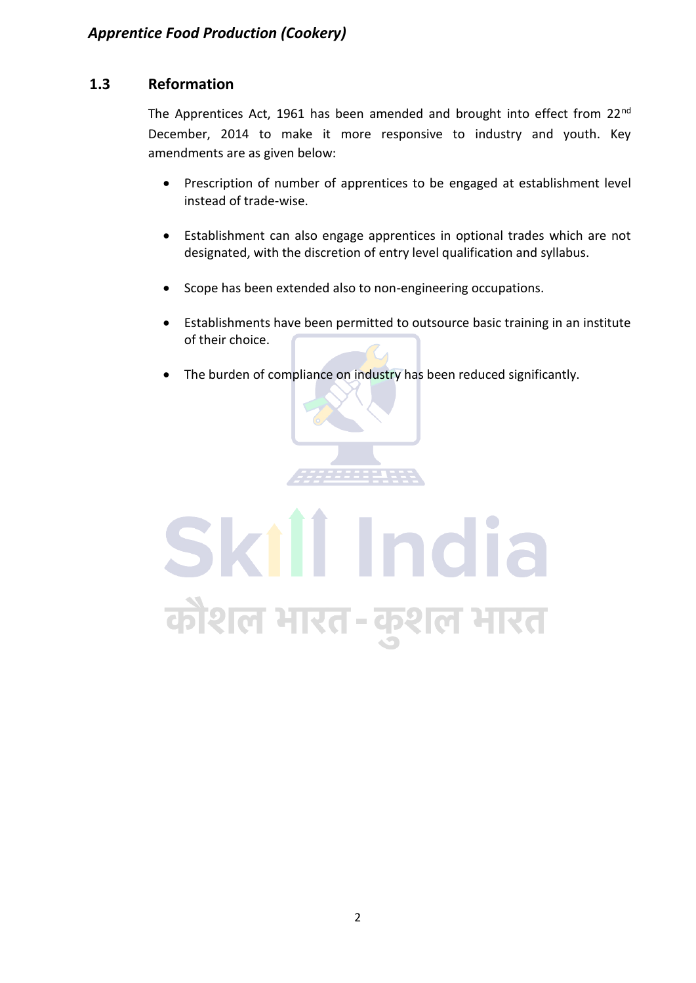#### **1.3 Reformation**

The Apprentices Act, 1961 has been amended and brought into effect from 22<sup>nd</sup> December, 2014 to make it more responsive to industry and youth. Key amendments are as given below:

- Prescription of number of apprentices to be engaged at establishment level instead of trade-wise.
- Establishment can also engage apprentices in optional trades which are not designated, with the discretion of entry level qualification and syllabus.
- Scope has been extended also to non-engineering occupations.
- Establishments have been permitted to outsource basic training in an institute of their choice.
- The burden of compliance on industry has been reduced significantly.

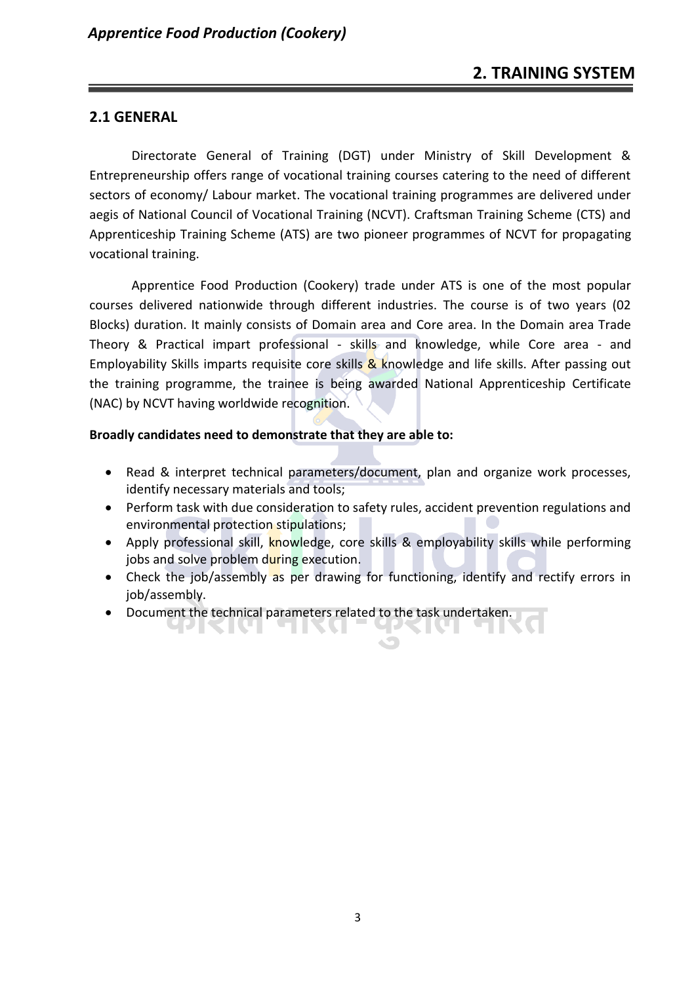#### **2.1 GENERAL**

Directorate General of Training (DGT) under Ministry of Skill Development & Entrepreneurship offers range of vocational training courses catering to the need of different sectors of economy/ Labour market. The vocational training programmes are delivered under aegis of National Council of Vocational Training (NCVT). Craftsman Training Scheme (CTS) and Apprenticeship Training Scheme (ATS) are two pioneer programmes of NCVT for propagating vocational training.

Apprentice Food Production (Cookery) trade under ATS is one of the most popular courses delivered nationwide through different industries. The course is of two years (02 Blocks) duration. It mainly consists of Domain area and Core area. In the Domain area Trade Theory & Practical impart professional - skills and knowledge, while Core area - and Employability Skills imparts requisite core skills  $\&$  knowledge and life skills. After passing out the training programme, the trainee is being awarded National Apprenticeship Certificate (NAC) by NCVT having worldwide recognition.

#### **Broadly candidates need to demonstrate that they are able to:**

SIST

- Read & interpret technical parameters/document, plan and organize work processes, identify necessary materials and tools;
- Perform task with due consideration to safety rules, accident prevention regulations and environmental protection stipulations;
- Apply professional skill, knowledge, core skills & employability skills while performing jobs and solve problem during execution.
- Check the job/assembly as per drawing for functioning, identify and rectify errors in job/assembly.
- Document the technical parameters related to the task undertaken.

. .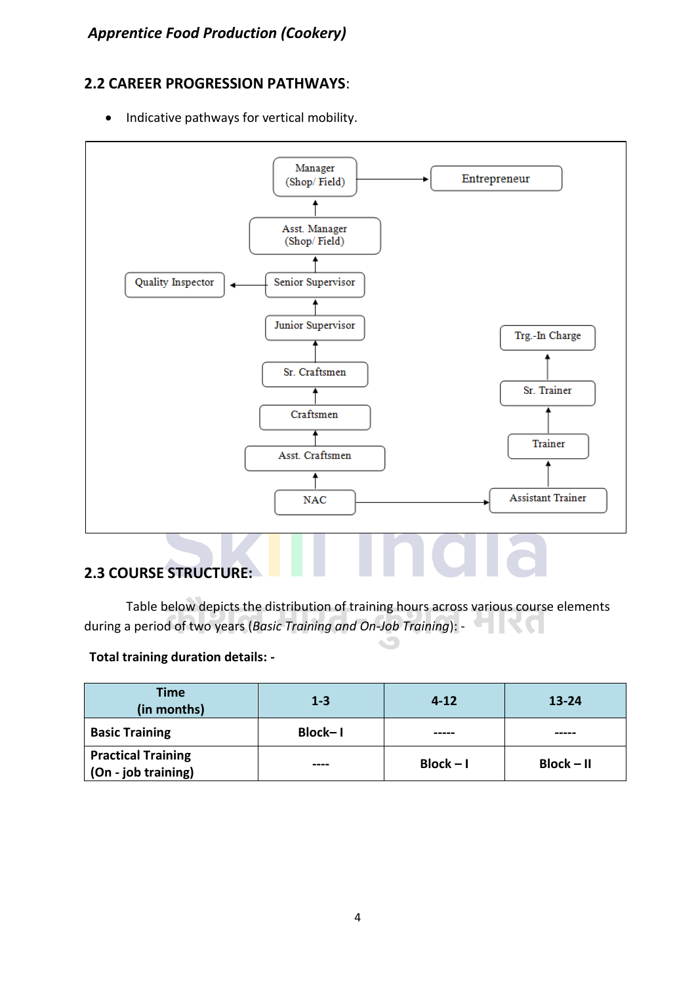### **2.2 CAREER PROGRESSION PATHWAYS**:

• Indicative pathways for vertical mobility.



Table below depicts the distribution of training hours across various course elements during a period of two years (*Basic Training and On-Job Training*): -

#### **Total training duration details: -**

| <b>Time</b><br>(in months)                       | $1 - 3$ | $4 - 12$    | 13-24        |
|--------------------------------------------------|---------|-------------|--------------|
| <b>Basic Training</b>                            | Block-1 |             |              |
| <b>Practical Training</b><br>(On - job training) | ----    | $Block - I$ | $Block - II$ |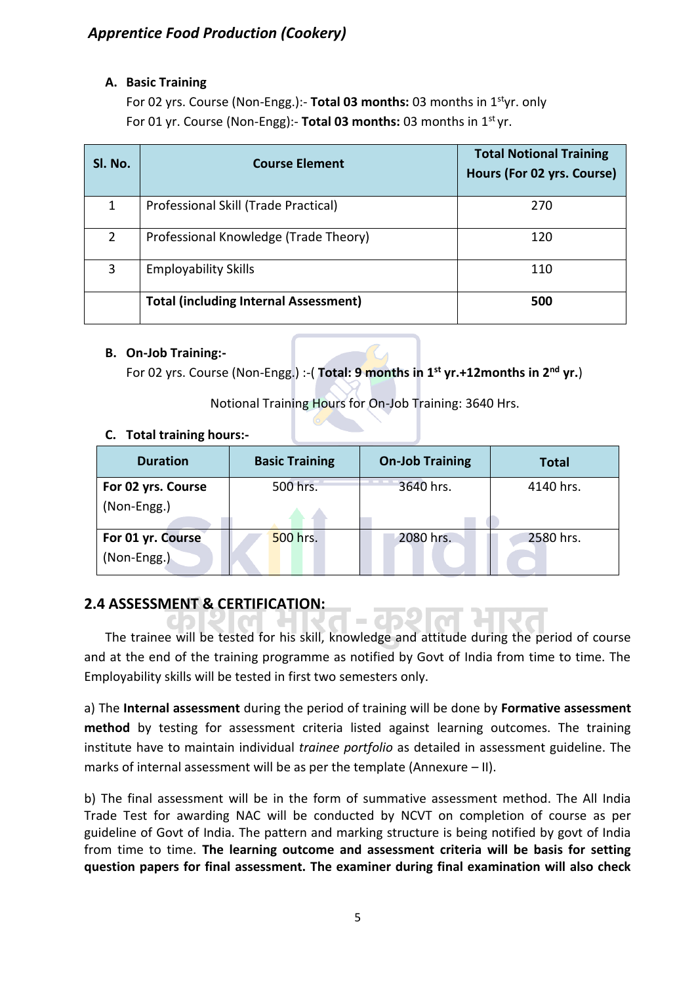#### **A. Basic Training**

For 02 yrs. Course (Non-Engg.):- **Total 03 months:** 03 months in 1styr. only For 01 yr. Course (Non-Engg):- **Total 03 months:** 03 months in 1st yr.

| Sl. No. | <b>Course Element</b>                        | <b>Total Notional Training</b><br>Hours (For 02 yrs. Course) |
|---------|----------------------------------------------|--------------------------------------------------------------|
| 1       | Professional Skill (Trade Practical)         | 270                                                          |
| 2       | Professional Knowledge (Trade Theory)        | 120                                                          |
| 3       | <b>Employability Skills</b>                  | 110                                                          |
|         | <b>Total (including Internal Assessment)</b> | 500                                                          |

#### **B. On-Job Training:-**

For 02 yrs. Course (Non-Engg.) :-( **Total: 9 months in 1st yr.+12months in 2nd yr.**)

Notional Training Hours for On-Job Training: 3640 Hrs.

#### **C. Total training hours:-**

| <b>Duration</b>                   | <b>Basic Training</b> | <b>On-Job Training</b> | <b>Total</b> |
|-----------------------------------|-----------------------|------------------------|--------------|
| For 02 yrs. Course<br>(Non-Engg.) | 3640 hrs.<br>500 hrs. |                        | 4140 hrs.    |
| For 01 yr. Course<br>(Non-Engg.)  | <b>500 hrs.</b>       | 2080 hrs.              | 2580 hrs.    |

#### **2.4 ASSESSMENT & CERTIFICATION:**

The trainee will be tested for his skill, knowledge and attitude during the period of course and at the end of the training programme as notified by Govt of India from time to time. The Employability skills will be tested in first two semesters only.

a) The **Internal assessment** during the period of training will be done by **Formative assessment method** by testing for assessment criteria listed against learning outcomes. The training institute have to maintain individual *trainee portfolio* as detailed in assessment guideline. The marks of internal assessment will be as per the template (Annexure – II).

b) The final assessment will be in the form of summative assessment method. The All India Trade Test for awarding NAC will be conducted by NCVT on completion of course as per guideline of Govt of India. The pattern and marking structure is being notified by govt of India from time to time. **The learning outcome and assessment criteria will be basis for setting question papers for final assessment. The examiner during final examination will also check**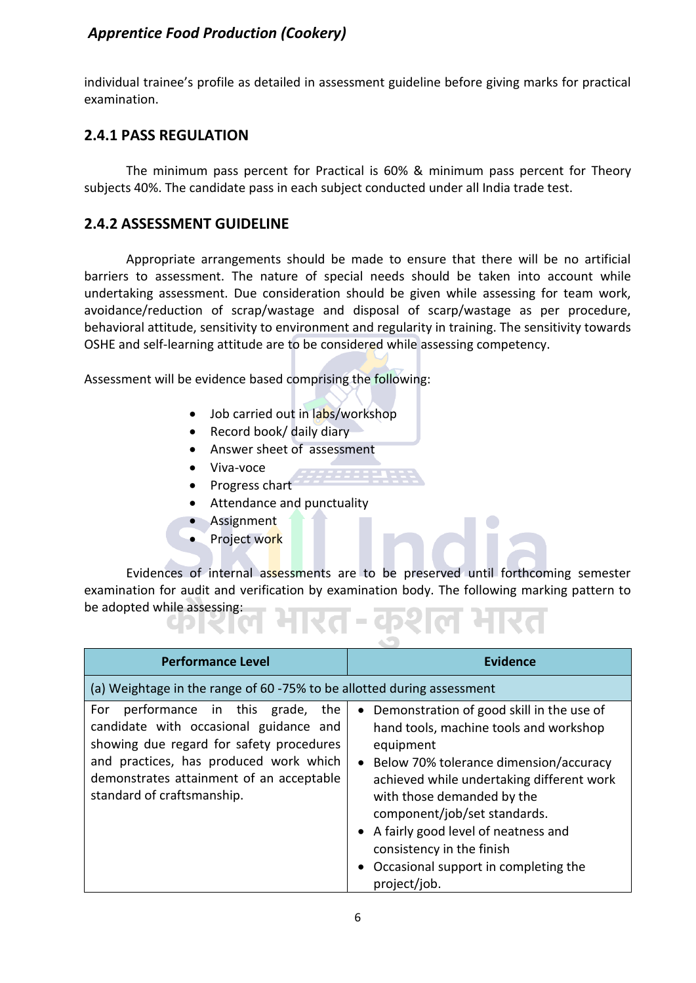individual trainee's profile as detailed in assessment guideline before giving marks for practical examination.

#### **2.4.1 PASS REGULATION**

The minimum pass percent for Practical is 60% & minimum pass percent for Theory subjects 40%. The candidate pass in each subject conducted under all India trade test.

#### **2.4.2 ASSESSMENT GUIDELINE**

Appropriate arrangements should be made to ensure that there will be no artificial barriers to assessment. The nature of special needs should be taken into account while undertaking assessment. Due consideration should be given while assessing for team work, avoidance/reduction of scrap/wastage and disposal of scarp/wastage as per procedure, behavioral attitude, sensitivity to environment and regularity in training. The sensitivity towards OSHE and self-learning attitude are to be considered while assessing competency.

Assessment will be evidence based comprising the following:

- Job carried out in labs/workshop
- Record book/ daily diary
- Answer sheet of assessment
- Viva-voce
- Progress chart
- Attendance and punctuality
- Assignment
- Project work

Evidences of internal assessments are to be preserved until forthcoming semester examination for audit and verification by examination body. The following marking pattern to be adopted while assessing: स्ति - कशल मारत

| <b>Performance Level</b>                                                                                                                                                                                                                           | <b>Evidence</b>                                                                                                                                                                                                                                                                                                                                                                         |
|----------------------------------------------------------------------------------------------------------------------------------------------------------------------------------------------------------------------------------------------------|-----------------------------------------------------------------------------------------------------------------------------------------------------------------------------------------------------------------------------------------------------------------------------------------------------------------------------------------------------------------------------------------|
| (a) Weightage in the range of 60 -75% to be allotted during assessment                                                                                                                                                                             |                                                                                                                                                                                                                                                                                                                                                                                         |
| performance in this grade,<br>For<br>the<br>candidate with occasional guidance and<br>showing due regard for safety procedures<br>and practices, has produced work which<br>demonstrates attainment of an acceptable<br>standard of craftsmanship. | • Demonstration of good skill in the use of<br>hand tools, machine tools and workshop<br>equipment<br>• Below 70% tolerance dimension/accuracy<br>achieved while undertaking different work<br>with those demanded by the<br>component/job/set standards.<br>• A fairly good level of neatness and<br>consistency in the finish<br>Occasional support in completing the<br>project/job. |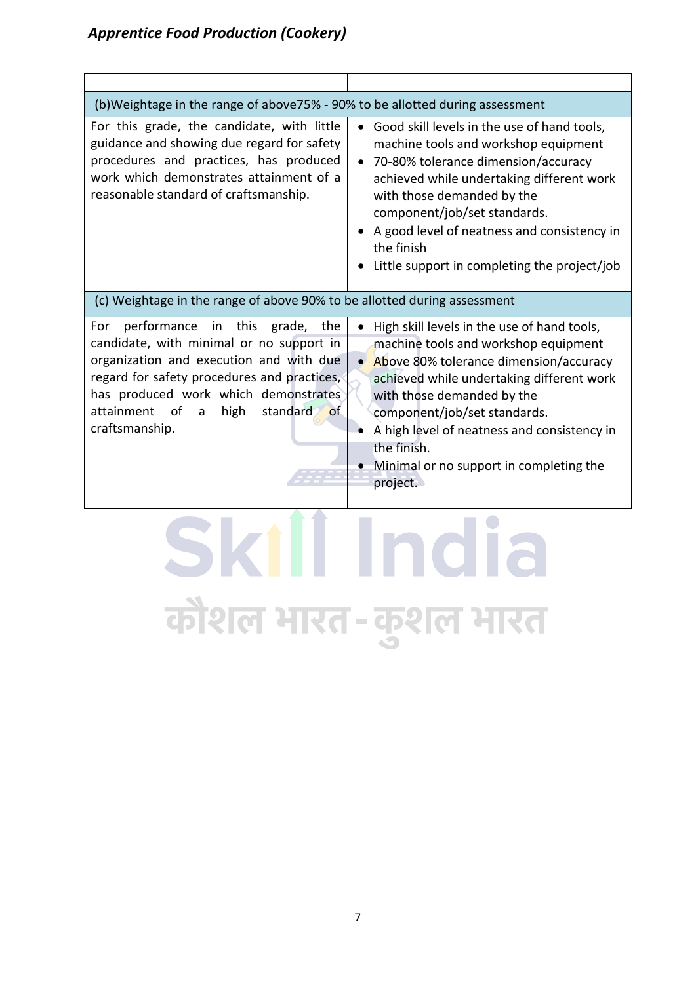$\Gamma$ 

| (b) Weightage in the range of above 75% - 90% to be allotted during assessment                                                                                                                                                                                                     |                                                                                                                                                                                                                                                                                                                                                                                         |
|------------------------------------------------------------------------------------------------------------------------------------------------------------------------------------------------------------------------------------------------------------------------------------|-----------------------------------------------------------------------------------------------------------------------------------------------------------------------------------------------------------------------------------------------------------------------------------------------------------------------------------------------------------------------------------------|
| For this grade, the candidate, with little<br>guidance and showing due regard for safety<br>procedures and practices, has produced<br>work which demonstrates attainment of a<br>reasonable standard of craftsmanship.                                                             | Good skill levels in the use of hand tools,<br>machine tools and workshop equipment<br>70-80% tolerance dimension/accuracy<br>$\bullet$<br>achieved while undertaking different work<br>with those demanded by the<br>component/job/set standards.<br>A good level of neatness and consistency in<br>the finish<br>Little support in completing the project/job                         |
| (c) Weightage in the range of above 90% to be allotted during assessment                                                                                                                                                                                                           |                                                                                                                                                                                                                                                                                                                                                                                         |
| performance in this grade, the<br>For<br>candidate, with minimal or no support in<br>organization and execution and with due<br>regard for safety procedures and practices,<br>has produced work which demonstrates<br>attainment of<br>high<br>standard of<br>a<br>craftsmanship. | High skill levels in the use of hand tools,<br>$\bullet$<br>machine tools and workshop equipment<br>Above 80% tolerance dimension/accuracy<br>$\bullet$<br>achieved while undertaking different work<br>with those demanded by the<br>component/job/set standards.<br>A high level of neatness and consistency in<br>the finish.<br>Minimal or no support in completing the<br>project. |

٦

# Skill India कौशल भारत-कुशल भारत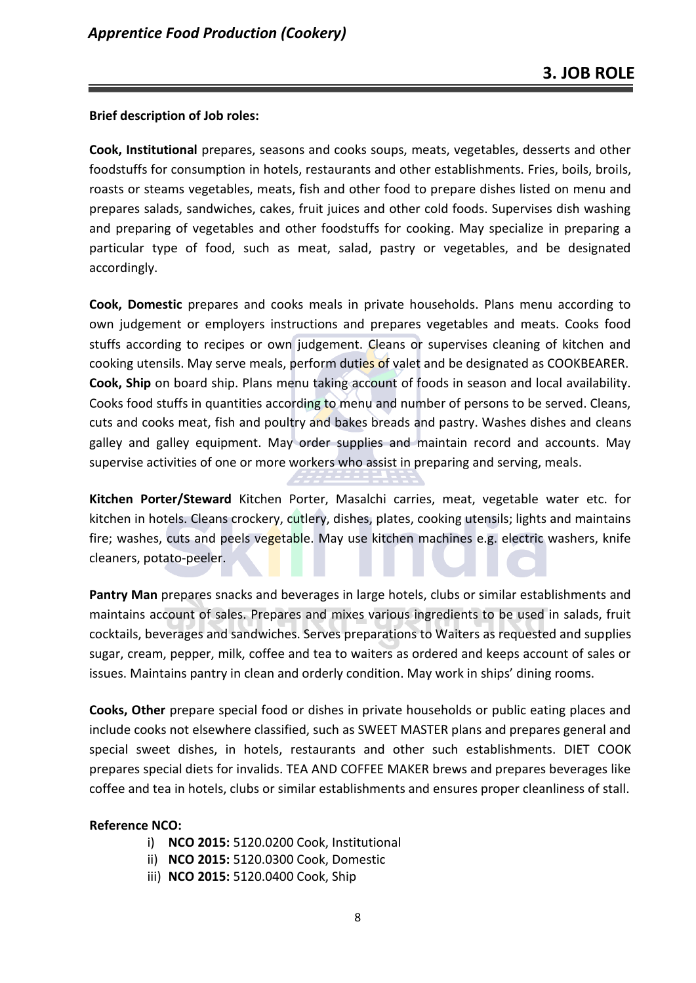#### **Brief description of Job roles:**

**Cook, Institutional** prepares, seasons and cooks soups, meats, vegetables, desserts and other foodstuffs for consumption in hotels, restaurants and other establishments. Fries, boils, broils, roasts or steams vegetables, meats, fish and other food to prepare dishes listed on menu and prepares salads, sandwiches, cakes, fruit juices and other cold foods. Supervises dish washing and preparing of vegetables and other foodstuffs for cooking. May specialize in preparing a particular type of food, such as meat, salad, pastry or vegetables, and be designated accordingly.

**Cook, Domestic** prepares and cooks meals in private households. Plans menu according to own judgement or employers instructions and prepares vegetables and meats. Cooks food stuffs according to recipes or own judgement. Cleans or supervises cleaning of kitchen and cooking utensils. May serve meals, perform duties of valet and be designated as COOKBEARER. **Cook, Ship** on board ship. Plans menu taking account of foods in season and local availability. Cooks food stuffs in quantities according to menu and number of persons to be served. Cleans, cuts and cooks meat, fish and poultry and bakes breads and pastry. Washes dishes and cleans galley and galley equipment. May order supplies and maintain record and accounts. May supervise activities of one or more workers who assist in preparing and serving, meals.

**Kitchen Porter/Steward** Kitchen Porter, Masalchi carries, meat, vegetable water etc. for kitchen in hotels. Cleans crockery, cutlery, dishes, plates, cooking utensils; lights and maintains fire; washes, cuts and peels vegetable. May use kitchen machines e.g. electric washers, knife cleaners, potato-peeler.

**Pantry Man** prepares snacks and beverages in large hotels, clubs or similar establishments and maintains account of sales. Prepares and mixes various ingredients to be used in salads, fruit cocktails, beverages and sandwiches. Serves preparations to Waiters as requested and supplies sugar, cream, pepper, milk, coffee and tea to waiters as ordered and keeps account of sales or issues. Maintains pantry in clean and orderly condition. May work in ships' dining rooms.

**Cooks, Other** prepare special food or dishes in private households or public eating places and include cooks not elsewhere classified, such as SWEET MASTER plans and prepares general and special sweet dishes, in hotels, restaurants and other such establishments. DIET COOK prepares special diets for invalids. TEA AND COFFEE MAKER brews and prepares beverages like coffee and tea in hotels, clubs or similar establishments and ensures proper cleanliness of stall.

#### **Reference NCO:**

- i) **NCO 2015:** 5120.0200 Cook, Institutional
- ii) **NCO 2015:** 5120.0300 Cook, Domestic
- iii) **NCO 2015:** 5120.0400 Cook, Ship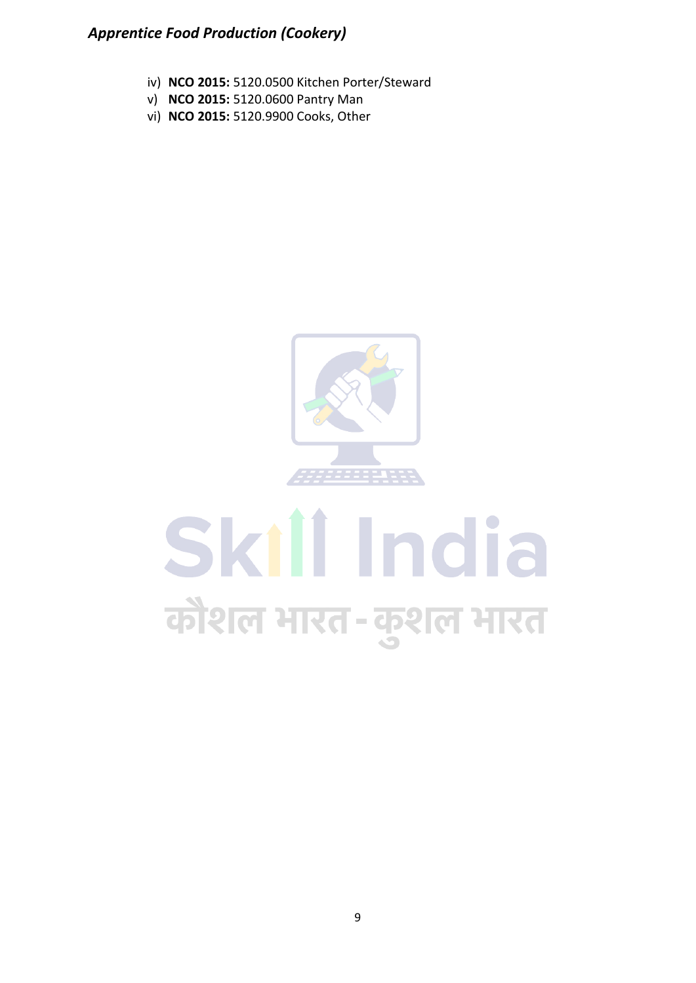- iv) **NCO 2015:** 5120.0500 Kitchen Porter/Steward
- v) **NCO 2015:** 5120.0600 Pantry Man
- vi) **NCO 2015:** 5120.9900 Cooks, Other



# Skill India कौशल भारत-कुशल भारत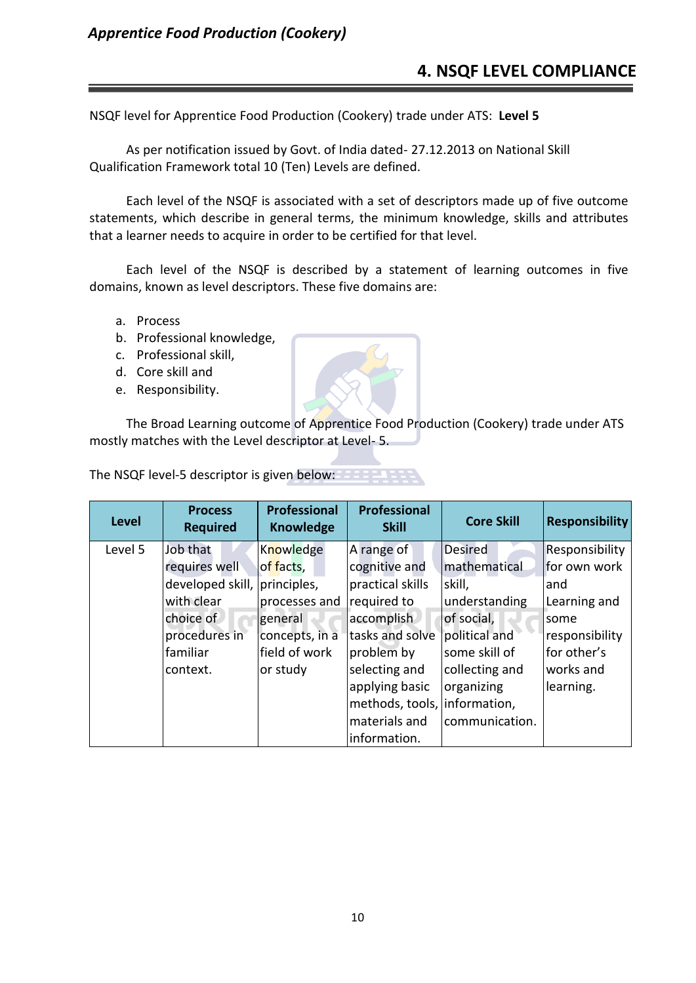### **4. NSQF LEVEL COMPLIANCE**

NSQF level for Apprentice Food Production (Cookery) trade under ATS: **Level 5**

As per notification issued by Govt. of India dated- 27.12.2013 on National Skill Qualification Framework total 10 (Ten) Levels are defined.

Each level of the NSQF is associated with a set of descriptors made up of five outcome statements, which describe in general terms, the minimum knowledge, skills and attributes that a learner needs to acquire in order to be certified for that level.

Each level of the NSQF is described by a statement of learning outcomes in five domains, known as level descriptors. These five domains are:

- a. Process
- b. Professional knowledge,
- c. Professional skill,
- d. Core skill and
- e. Responsibility.

The Broad Learning outcome of Apprentice Food Production (Cookery) trade under ATS mostly matches with the Level descriptor at Level- 5.

The NSQF level-5 descriptor is given below:

| <b>Level</b> | <b>Process</b><br><b>Required</b> | <b>Professional</b><br><b>Knowledge</b> | <b>Professional</b><br><b>Skill</b> | <b>Core Skill</b> | <b>Responsibility</b> |
|--------------|-----------------------------------|-----------------------------------------|-------------------------------------|-------------------|-----------------------|
| Level 5      | Job that                          | Knowledge                               | A range of                          | <b>Desired</b>    | Responsibility        |
|              | requires well                     | of facts,                               | cognitive and                       | mathematical      | for own work          |
|              | developed skill,                  | principles,                             | practical skills                    | skill,            | land                  |
|              | with clear                        | processes and                           | required to                         | understanding     | Learning and          |
|              | choice of                         | general                                 | accomplish                          | of social,        | some                  |
|              | procedures in                     | concepts, in a                          | tasks and solve                     | political and     | responsibility        |
|              | familiar                          | field of work                           | problem by                          | some skill of     | for other's           |
|              | context.                          | or study                                | selecting and                       | collecting and    | works and             |
|              |                                   |                                         | applying basic                      | organizing        | learning.             |
|              |                                   |                                         | methods, tools, information,        |                   |                       |
|              |                                   |                                         | materials and                       | communication.    |                       |
|              |                                   |                                         | information.                        |                   |                       |



10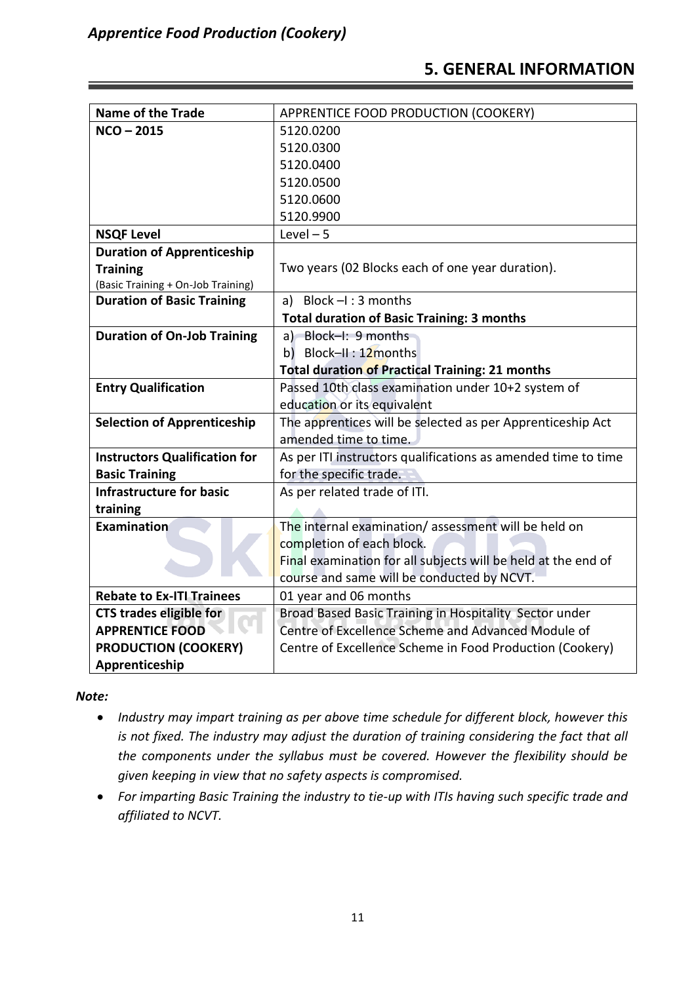### **5. GENERAL INFORMATION**

| <b>Name of the Trade</b>             | APPRENTICE FOOD PRODUCTION (COOKERY)                          |
|--------------------------------------|---------------------------------------------------------------|
| $NCO - 2015$                         | 5120.0200                                                     |
|                                      | 5120.0300                                                     |
|                                      | 5120.0400                                                     |
|                                      | 5120.0500                                                     |
|                                      | 5120.0600                                                     |
|                                      | 5120.9900                                                     |
| <b>NSQF Level</b>                    | $Level - 5$                                                   |
| <b>Duration of Apprenticeship</b>    |                                                               |
| <b>Training</b>                      | Two years (02 Blocks each of one year duration).              |
| (Basic Training + On-Job Training)   |                                                               |
| <b>Duration of Basic Training</b>    | a) Block $-I$ : 3 months                                      |
|                                      | <b>Total duration of Basic Training: 3 months</b>             |
| <b>Duration of On-Job Training</b>   | a) Block-I: 9 months                                          |
|                                      | b) Block-II: 12months                                         |
|                                      | <b>Total duration of Practical Training: 21 months</b>        |
| <b>Entry Qualification</b>           | Passed 10th class examination under 10+2 system of            |
|                                      | education or its equivalent                                   |
| <b>Selection of Apprenticeship</b>   | The apprentices will be selected as per Apprenticeship Act    |
|                                      | amended time to time.                                         |
| <b>Instructors Qualification for</b> | As per ITI instructors qualifications as amended time to time |
| <b>Basic Training</b>                | for the specific trade.                                       |
| <b>Infrastructure for basic</b>      | As per related trade of ITI.                                  |
| training                             |                                                               |
| Examination                          | The internal examination/assessment will be held on           |
|                                      | completion of each block.                                     |
|                                      | Final examination for all subjects will be held at the end of |
|                                      | course and same will be conducted by NCVT.                    |
| <b>Rebate to Ex-ITI Trainees</b>     | 01 year and 06 months                                         |
| <b>CTS trades eligible for</b>       | Broad Based Basic Training in Hospitality Sector under        |
| <b>APPRENTICE FOOD</b>               | Centre of Excellence Scheme and Advanced Module of            |
| <b>PRODUCTION (COOKERY)</b>          | Centre of Excellence Scheme in Food Production (Cookery)      |
| Apprenticeship                       |                                                               |
|                                      |                                                               |

*Note:*

- *Industry may impart training as per above time schedule for different block, however this is not fixed. The industry may adjust the duration of training considering the fact that all the components under the syllabus must be covered. However the flexibility should be given keeping in view that no safety aspects is compromised.*
- *For imparting Basic Training the industry to tie-up with ITIs having such specific trade and affiliated to NCVT.*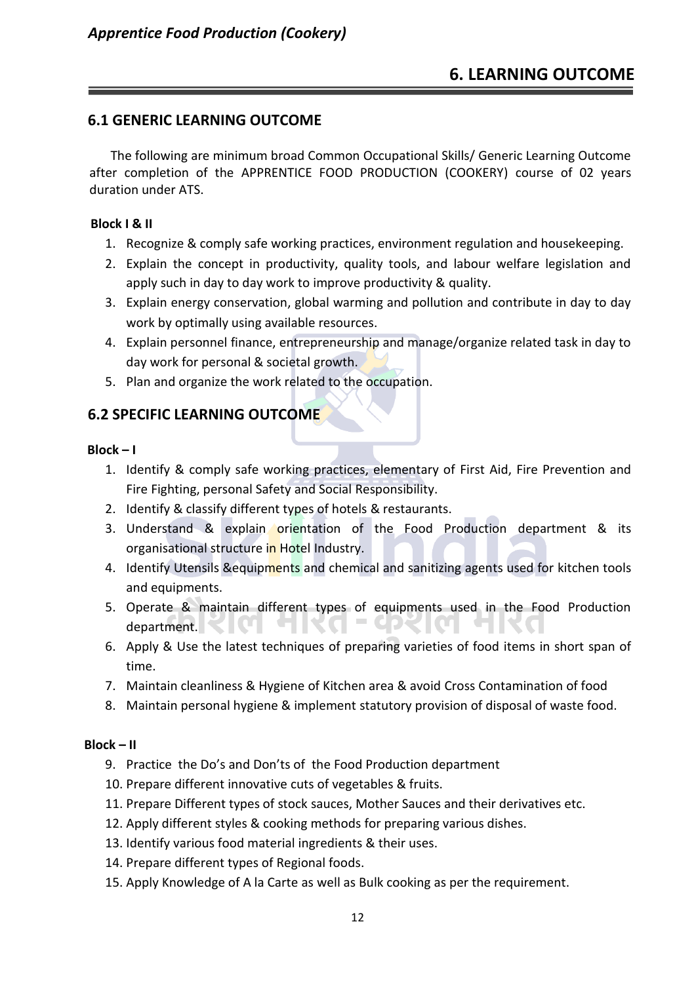### **6. LEARNING OUTCOME**

#### **6.1 GENERIC LEARNING OUTCOME**

The following are minimum broad Common Occupational Skills/ Generic Learning Outcome after completion of the APPRENTICE FOOD PRODUCTION (COOKERY) course of 02 years duration under ATS.

#### **Block I & II**

- 1. Recognize & comply safe working practices, environment regulation and housekeeping.
- 2. Explain the concept in productivity, quality tools, and labour welfare legislation and apply such in day to day work to improve productivity & quality.
- 3. Explain energy conservation, global warming and pollution and contribute in day to day work by optimally using available resources.
- 4. Explain personnel finance, entrepreneurship and manage/organize related task in day to day work for personal & societal growth.
- 5. Plan and organize the work related to the occupation.

#### **6.2 SPECIFIC LEARNING OUTCOME**

#### $Block - I$

- 1. Identify & comply safe working practices, elementary of First Aid, Fire Prevention and Fire Fighting, personal Safety and Social Responsibility.
- 2. Identify & classify different types of hotels & restaurants.
- 3. Understand & explain orientation of the Food Production department & its organisational structure in Hotel Industry.
- 4. Identify Utensils & equipments and chemical and sanitizing agents used for kitchen tools and equipments.
- 5. Operate & maintain different types of equipments used in the Food Production department.
- 6. Apply & Use the latest techniques of preparing varieties of food items in short span of time.
- 7. Maintain cleanliness & Hygiene of Kitchen area & avoid Cross Contamination of food
- 8. Maintain personal hygiene & implement statutory provision of disposal of waste food.

#### **Block – II**

- 9. Practice the Do's and Don'ts of the Food Production department
- 10. Prepare different innovative cuts of vegetables & fruits.
- 11. Prepare Different types of stock sauces, Mother Sauces and their derivatives etc.
- 12. Apply different styles & cooking methods for preparing various dishes.
- 13. Identify various food material ingredients & their uses.
- 14. Prepare different types of Regional foods.
- 15. Apply Knowledge of A la Carte as well as Bulk cooking as per the requirement.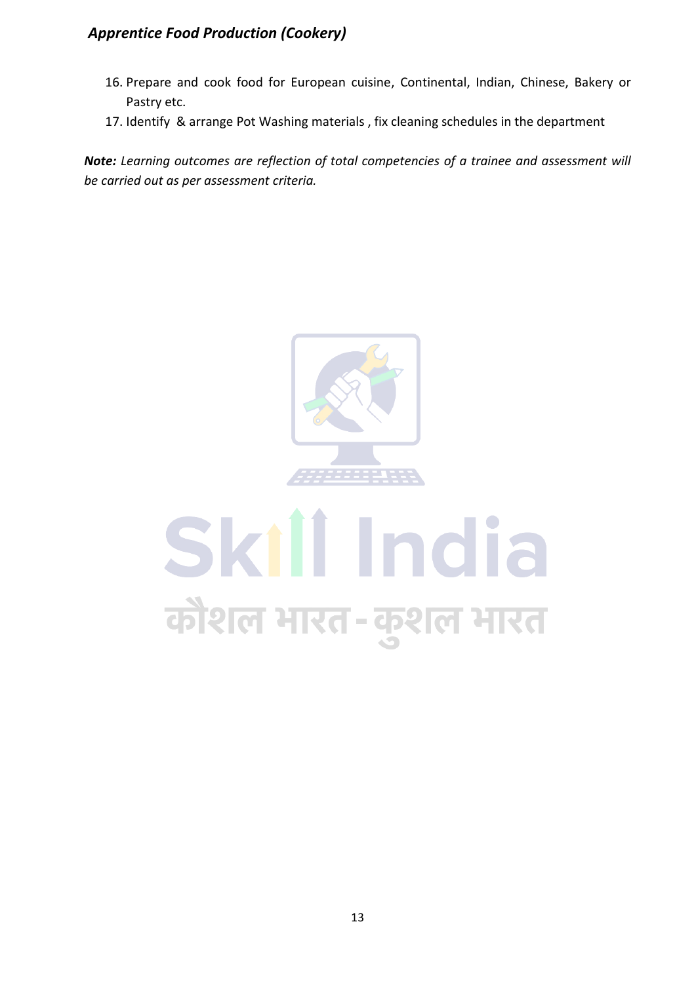- 16. Prepare and cook food for European cuisine, Continental, Indian, Chinese, Bakery or Pastry etc.
- 17. Identify & arrange Pot Washing materials , fix cleaning schedules in the department

*Note: Learning outcomes are reflection of total competencies of a trainee and assessment will be carried out as per assessment criteria.*



# Skill India कौशल भारत-कुशल भारत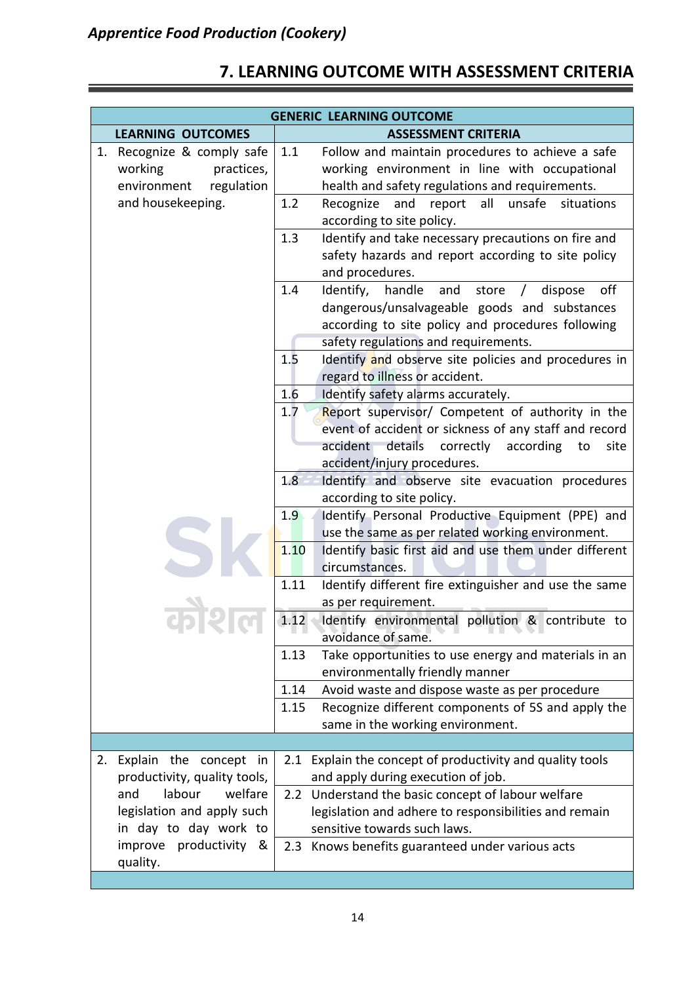| <b>GENERIC LEARNING OUTCOME</b>                                                     |                                                                                                                                                                                                             |  |
|-------------------------------------------------------------------------------------|-------------------------------------------------------------------------------------------------------------------------------------------------------------------------------------------------------------|--|
| <b>LEARNING OUTCOMES</b>                                                            | <b>ASSESSMENT CRITERIA</b>                                                                                                                                                                                  |  |
| Recognize & comply safe<br>1.<br>working<br>practices,<br>environment<br>regulation | 1.1<br>Follow and maintain procedures to achieve a safe<br>working environment in line with occupational<br>health and safety regulations and requirements.                                                 |  |
| and housekeeping.                                                                   | 1.2<br>Recognize<br>and<br>all<br>unsafe<br>situations<br>report<br>according to site policy.                                                                                                               |  |
|                                                                                     | 1.3<br>Identify and take necessary precautions on fire and<br>safety hazards and report according to site policy<br>and procedures.                                                                         |  |
|                                                                                     | 1.4<br>Identify,<br>handle<br>and<br>off<br>store<br>dispose<br>dangerous/unsalvageable goods and substances<br>according to site policy and procedures following<br>safety regulations and requirements.   |  |
|                                                                                     | 1.5<br>Identify and observe site policies and procedures in<br>regard to illness or accident.                                                                                                               |  |
|                                                                                     | 1.6<br>Identify safety alarms accurately.                                                                                                                                                                   |  |
|                                                                                     | 1.7<br>Report supervisor/ Competent of authority in the<br>event of accident or sickness of any staff and record<br>details correctly<br>accident<br>according<br>site<br>to<br>accident/injury procedures. |  |
|                                                                                     | 1.8<br>Identify and observe site evacuation procedures<br>according to site policy.                                                                                                                         |  |
|                                                                                     | 1.9<br>Identify Personal Productive Equipment (PPE) and<br>use the same as per related working environment.<br>1.10<br>Identify basic first aid and use them under different<br>circumstances.              |  |
|                                                                                     | 1.11<br>Identify different fire extinguisher and use the same<br>as per requirement.                                                                                                                        |  |
|                                                                                     | 1.12<br>Identify environmental pollution & contribute to<br>ш<br>avoidance of same.                                                                                                                         |  |
|                                                                                     | 1.13<br>Take opportunities to use energy and materials in an<br>environmentally friendly manner                                                                                                             |  |
|                                                                                     | 1.14<br>Avoid waste and dispose waste as per procedure                                                                                                                                                      |  |
|                                                                                     | 1.15<br>Recognize different components of 5S and apply the<br>same in the working environment.                                                                                                              |  |
|                                                                                     |                                                                                                                                                                                                             |  |
| Explain the concept in<br>2.<br>productivity, quality tools,                        | Explain the concept of productivity and quality tools<br>2.1<br>and apply during execution of job.                                                                                                          |  |
| labour<br>and<br>welfare<br>legislation and apply such<br>in day to day work to     | 2.2 Understand the basic concept of labour welfare<br>legislation and adhere to responsibilities and remain<br>sensitive towards such laws.                                                                 |  |
| productivity<br>improve<br>&<br>quality.                                            | Knows benefits guaranteed under various acts<br>2.3                                                                                                                                                         |  |

# **7. LEARNING OUTCOME WITH ASSESSMENT CRITERIA**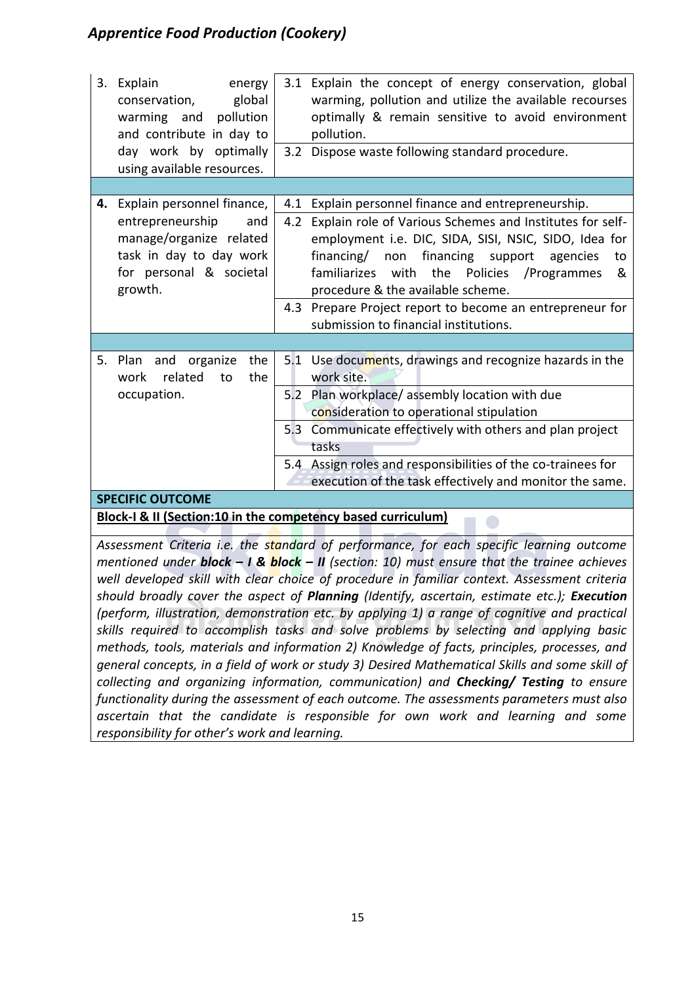|                                                                                                                                                                                                                                                                                                                                                                                         | 3. Explain<br>energy<br>conservation,<br>global<br>pollution<br>warming<br>and<br>and contribute in day to<br>day work by optimally<br>using available resources. | 3.1 Explain the concept of energy conservation, global<br>warming, pollution and utilize the available recourses<br>optimally & remain sensitive to avoid environment<br>pollution.<br>Dispose waste following standard procedure.<br>3.2                                                                                                                                                  |  |  |  |
|-----------------------------------------------------------------------------------------------------------------------------------------------------------------------------------------------------------------------------------------------------------------------------------------------------------------------------------------------------------------------------------------|-------------------------------------------------------------------------------------------------------------------------------------------------------------------|--------------------------------------------------------------------------------------------------------------------------------------------------------------------------------------------------------------------------------------------------------------------------------------------------------------------------------------------------------------------------------------------|--|--|--|
|                                                                                                                                                                                                                                                                                                                                                                                         |                                                                                                                                                                   |                                                                                                                                                                                                                                                                                                                                                                                            |  |  |  |
|                                                                                                                                                                                                                                                                                                                                                                                         | 4. Explain personnel finance,                                                                                                                                     | Explain personnel finance and entrepreneurship.<br>4.1                                                                                                                                                                                                                                                                                                                                     |  |  |  |
|                                                                                                                                                                                                                                                                                                                                                                                         | entrepreneurship<br>and<br>manage/organize related<br>task in day to day work<br>for personal & societal<br>growth.                                               | 4.2 Explain role of Various Schemes and Institutes for self-<br>employment i.e. DIC, SIDA, SISI, NSIC, SIDO, Idea for<br>financing/ non<br>financing<br>support<br>agencies<br>to<br>familiarizes<br>the<br>Policies<br>with<br>/Programmes<br>&<br>procedure & the available scheme.<br>4.3 Prepare Project report to become an entrepreneur for<br>submission to financial institutions. |  |  |  |
|                                                                                                                                                                                                                                                                                                                                                                                         |                                                                                                                                                                   |                                                                                                                                                                                                                                                                                                                                                                                            |  |  |  |
|                                                                                                                                                                                                                                                                                                                                                                                         |                                                                                                                                                                   |                                                                                                                                                                                                                                                                                                                                                                                            |  |  |  |
|                                                                                                                                                                                                                                                                                                                                                                                         | and organize<br>the<br>5. Plan<br>work<br>related<br>the<br>to<br>occupation.                                                                                     | 5.1 Use documents, drawings and recognize hazards in the<br>work site.<br>5.2 Plan workplace/ assembly location with due<br>consideration to operational stipulation<br>5.3 Communicate effectively with others and plan project<br>tasks<br>5.4 Assign roles and responsibilities of the co-trainees for<br>execution of the task effectively and monitor the same.                       |  |  |  |
|                                                                                                                                                                                                                                                                                                                                                                                         | <b>SPECIFIC OUTCOME</b>                                                                                                                                           |                                                                                                                                                                                                                                                                                                                                                                                            |  |  |  |
|                                                                                                                                                                                                                                                                                                                                                                                         |                                                                                                                                                                   | Block-I & II (Section:10 in the competency based curriculum)                                                                                                                                                                                                                                                                                                                               |  |  |  |
|                                                                                                                                                                                                                                                                                                                                                                                         |                                                                                                                                                                   |                                                                                                                                                                                                                                                                                                                                                                                            |  |  |  |
|                                                                                                                                                                                                                                                                                                                                                                                         | Assessment Criteria i.e. the standard of performance, for each specific learning outcome                                                                          |                                                                                                                                                                                                                                                                                                                                                                                            |  |  |  |
|                                                                                                                                                                                                                                                                                                                                                                                         | mentioned under <b>block - I &amp; block - II</b> (section: 10) must ensure that the trainee achieves                                                             |                                                                                                                                                                                                                                                                                                                                                                                            |  |  |  |
|                                                                                                                                                                                                                                                                                                                                                                                         | well developed skill with clear choice of procedure in familiar context. Assessment criteria                                                                      |                                                                                                                                                                                                                                                                                                                                                                                            |  |  |  |
|                                                                                                                                                                                                                                                                                                                                                                                         | should broadly cover the aspect of Planning (Identify, ascertain, estimate etc.); Execution                                                                       |                                                                                                                                                                                                                                                                                                                                                                                            |  |  |  |
| (perform, illustration, demonstration etc. by applying 1) a range of cognitive and practical<br>skills required to accomplish tasks and solve problems by selecting and applying basic<br>methods, tools, materials and information 2) Knowledge of facts, principles, processes, and<br>general concepts, in a field of work or study 3) Desired Mathematical Skills and some skill of |                                                                                                                                                                   |                                                                                                                                                                                                                                                                                                                                                                                            |  |  |  |

*collecting and organizing information, communication) and Checking/ Testing to ensure functionality during the assessment of each outcome. The assessments parameters must also ascertain that the candidate is responsible for own work and learning and some responsibility for other's work and learning.*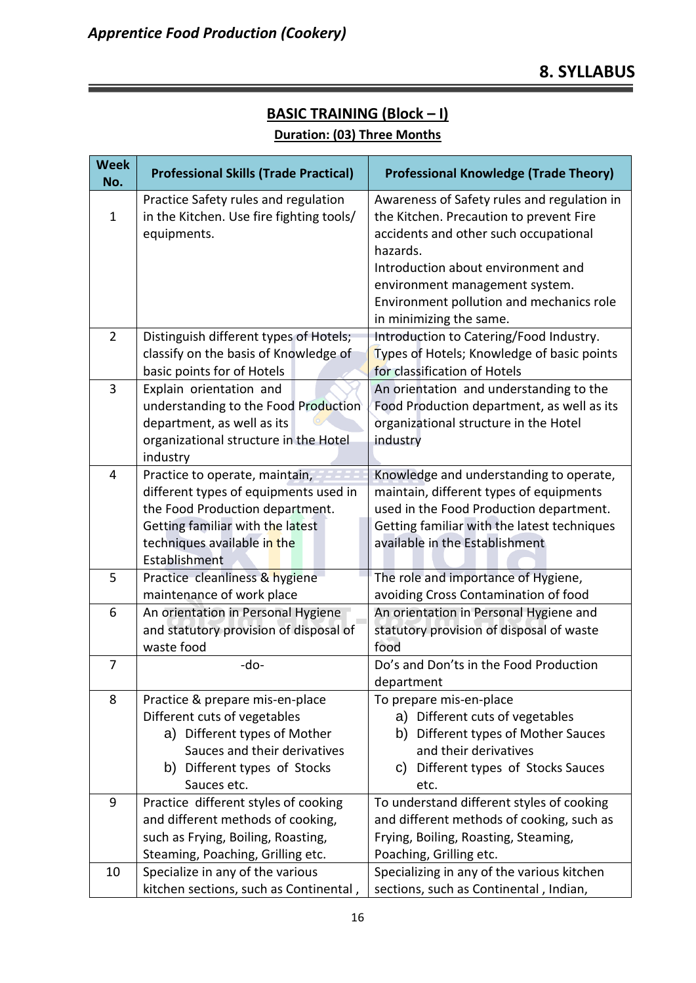# **BASIC TRAINING (Block – I)**

#### **Duration: (03) Three Months**

| <b>Week</b><br>No. | <b>Professional Skills (Trade Practical)</b>                                                                                                                                                   | <b>Professional Knowledge (Trade Theory)</b>                                                                                                                                                                                                                                               |
|--------------------|------------------------------------------------------------------------------------------------------------------------------------------------------------------------------------------------|--------------------------------------------------------------------------------------------------------------------------------------------------------------------------------------------------------------------------------------------------------------------------------------------|
| $\mathbf 1$        | Practice Safety rules and regulation<br>in the Kitchen. Use fire fighting tools/<br>equipments.                                                                                                | Awareness of Safety rules and regulation in<br>the Kitchen. Precaution to prevent Fire<br>accidents and other such occupational<br>hazards.<br>Introduction about environment and<br>environment management system.<br>Environment pollution and mechanics role<br>in minimizing the same. |
| $\overline{2}$     | Distinguish different types of Hotels;<br>classify on the basis of Knowledge of<br>basic points for of Hotels                                                                                  | Introduction to Catering/Food Industry.<br>Types of Hotels; Knowledge of basic points<br>for classification of Hotels                                                                                                                                                                      |
| 3                  | Explain orientation and<br>understanding to the Food Production<br>department, as well as its<br>organizational structure in the Hotel<br>industry                                             | An orientation and understanding to the<br>Food Production department, as well as its<br>organizational structure in the Hotel<br>industry                                                                                                                                                 |
| $\overline{4}$     | Practice to operate, maintain,<br>different types of equipments used in<br>the Food Production department.<br>Getting familiar with the latest<br>techniques available in the<br>Establishment | Knowledge and understanding to operate,<br>maintain, different types of equipments<br>used in the Food Production department.<br>Getting familiar with the latest techniques<br>available in the Establishment                                                                             |
| 5                  | Practice cleanliness & hygiene<br>maintenance of work place                                                                                                                                    | The role and importance of Hygiene,<br>avoiding Cross Contamination of food                                                                                                                                                                                                                |
| 6                  | An orientation in Personal Hygiene<br>and statutory provision of disposal of<br>waste food                                                                                                     | An orientation in Personal Hygiene and<br>statutory provision of disposal of waste<br>food                                                                                                                                                                                                 |
| $\overline{7}$     | -do-                                                                                                                                                                                           | Do's and Don'ts in the Food Production<br>department                                                                                                                                                                                                                                       |
| 8                  | Practice & prepare mis-en-place<br>Different cuts of vegetables<br>a) Different types of Mother<br>Sauces and their derivatives<br>b) Different types of Stocks<br>Sauces etc.                 | To prepare mis-en-place<br>a) Different cuts of vegetables<br>Different types of Mother Sauces<br>b)<br>and their derivatives<br>Different types of Stocks Sauces<br>C)<br>etc.                                                                                                            |
| 9                  | Practice different styles of cooking<br>and different methods of cooking,<br>such as Frying, Boiling, Roasting,<br>Steaming, Poaching, Grilling etc.                                           | To understand different styles of cooking<br>and different methods of cooking, such as<br>Frying, Boiling, Roasting, Steaming,<br>Poaching, Grilling etc.                                                                                                                                  |
| 10                 | Specialize in any of the various<br>kitchen sections, such as Continental,                                                                                                                     | Specializing in any of the various kitchen<br>sections, such as Continental, Indian,                                                                                                                                                                                                       |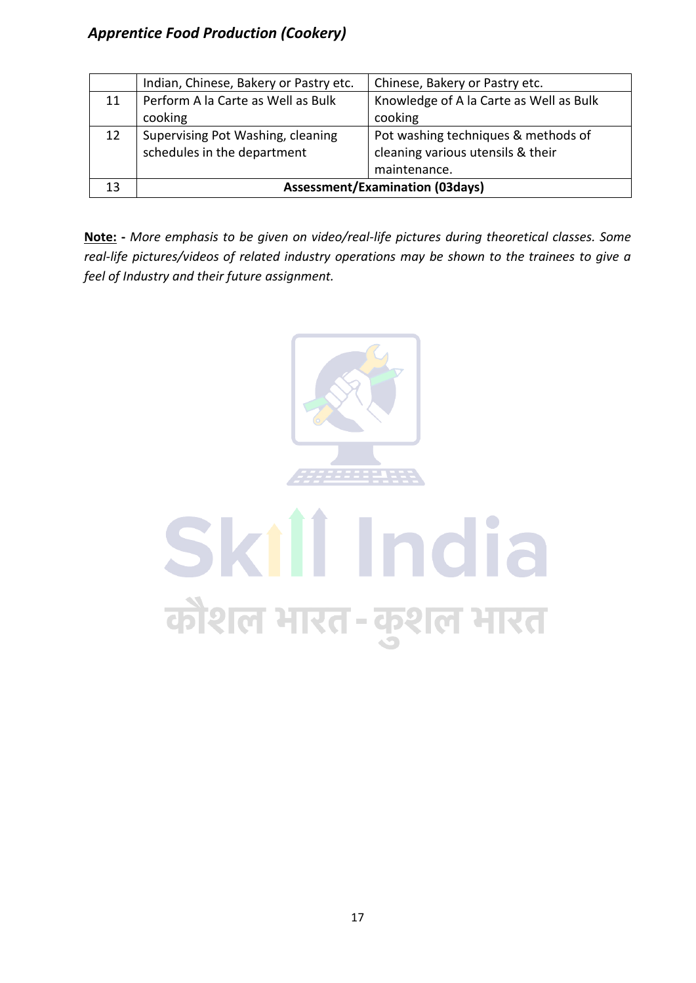|    | Indian, Chinese, Bakery or Pastry etc. | Chinese, Bakery or Pastry etc.          |  |  |  |  |  |  |
|----|----------------------------------------|-----------------------------------------|--|--|--|--|--|--|
| 11 | Perform A la Carte as Well as Bulk     | Knowledge of A la Carte as Well as Bulk |  |  |  |  |  |  |
|    | cooking                                | cooking                                 |  |  |  |  |  |  |
| 12 | Supervising Pot Washing, cleaning      | Pot washing techniques & methods of     |  |  |  |  |  |  |
|    | schedules in the department            | cleaning various utensils & their       |  |  |  |  |  |  |
|    |                                        | maintenance.                            |  |  |  |  |  |  |
| 13 | <b>Assessment/Examination (03days)</b> |                                         |  |  |  |  |  |  |

**Note: -** *More emphasis to be given on video/real-life pictures during theoretical classes. Some real-life pictures/videos of related industry operations may be shown to the trainees to give a feel of Industry and their future assignment.*



# Skill India कौशल भारत-कुशल भारत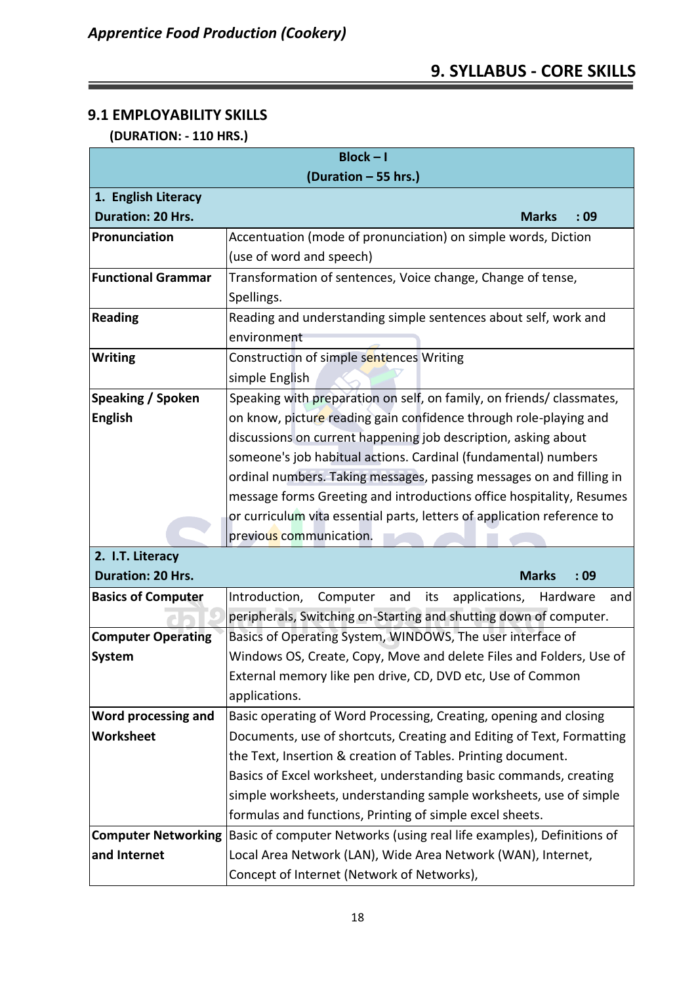### **9.1 EMPLOYABILITY SKILLS**

#### **(DURATION: - 110 HRS.)**

| $Block - I$                |                                                                             |  |  |  |  |  |  |  |
|----------------------------|-----------------------------------------------------------------------------|--|--|--|--|--|--|--|
|                            | (Duration - 55 hrs.)                                                        |  |  |  |  |  |  |  |
| 1. English Literacy        |                                                                             |  |  |  |  |  |  |  |
| <b>Duration: 20 Hrs.</b>   | <b>Marks</b><br>:09                                                         |  |  |  |  |  |  |  |
| Pronunciation              | Accentuation (mode of pronunciation) on simple words, Diction               |  |  |  |  |  |  |  |
|                            | (use of word and speech)                                                    |  |  |  |  |  |  |  |
| <b>Functional Grammar</b>  | Transformation of sentences, Voice change, Change of tense,                 |  |  |  |  |  |  |  |
|                            | Spellings.                                                                  |  |  |  |  |  |  |  |
| <b>Reading</b>             | Reading and understanding simple sentences about self, work and             |  |  |  |  |  |  |  |
|                            | environment                                                                 |  |  |  |  |  |  |  |
| <b>Writing</b>             | Construction of simple sentences Writing                                    |  |  |  |  |  |  |  |
|                            | simple English                                                              |  |  |  |  |  |  |  |
| Speaking / Spoken          | Speaking with preparation on self, on family, on friends/ classmates,       |  |  |  |  |  |  |  |
| <b>English</b>             | on know, picture reading gain confidence through role-playing and           |  |  |  |  |  |  |  |
|                            | discussions on current happening job description, asking about              |  |  |  |  |  |  |  |
|                            | someone's job habitual actions. Cardinal (fundamental) numbers              |  |  |  |  |  |  |  |
|                            | ordinal numbers. Taking messages, passing messages on and filling in        |  |  |  |  |  |  |  |
|                            | message forms Greeting and introductions office hospitality, Resumes        |  |  |  |  |  |  |  |
|                            | or curriculum vita essential parts, letters of application reference to     |  |  |  |  |  |  |  |
|                            | previous communication.                                                     |  |  |  |  |  |  |  |
| 2. I.T. Literacy           |                                                                             |  |  |  |  |  |  |  |
| <b>Duration: 20 Hrs.</b>   | :09<br><b>Marks</b>                                                         |  |  |  |  |  |  |  |
| <b>Basics of Computer</b>  | Computer<br>and<br>applications,<br>Introduction,<br>its<br>and<br>Hardware |  |  |  |  |  |  |  |
|                            | peripherals, Switching on-Starting and shutting down of computer.           |  |  |  |  |  |  |  |
| <b>Computer Operating</b>  | Basics of Operating System, WINDOWS, The user interface of                  |  |  |  |  |  |  |  |
| <b>System</b>              | Windows OS, Create, Copy, Move and delete Files and Folders, Use of         |  |  |  |  |  |  |  |
|                            | External memory like pen drive, CD, DVD etc, Use of Common                  |  |  |  |  |  |  |  |
|                            | applications.                                                               |  |  |  |  |  |  |  |
| Word processing and        | Basic operating of Word Processing, Creating, opening and closing           |  |  |  |  |  |  |  |
| <b>Worksheet</b>           | Documents, use of shortcuts, Creating and Editing of Text, Formatting       |  |  |  |  |  |  |  |
|                            | the Text, Insertion & creation of Tables. Printing document.                |  |  |  |  |  |  |  |
|                            | Basics of Excel worksheet, understanding basic commands, creating           |  |  |  |  |  |  |  |
|                            | simple worksheets, understanding sample worksheets, use of simple           |  |  |  |  |  |  |  |
|                            | formulas and functions, Printing of simple excel sheets.                    |  |  |  |  |  |  |  |
| <b>Computer Networking</b> | Basic of computer Networks (using real life examples), Definitions of       |  |  |  |  |  |  |  |
| and Internet               | Local Area Network (LAN), Wide Area Network (WAN), Internet,                |  |  |  |  |  |  |  |
|                            | Concept of Internet (Network of Networks),                                  |  |  |  |  |  |  |  |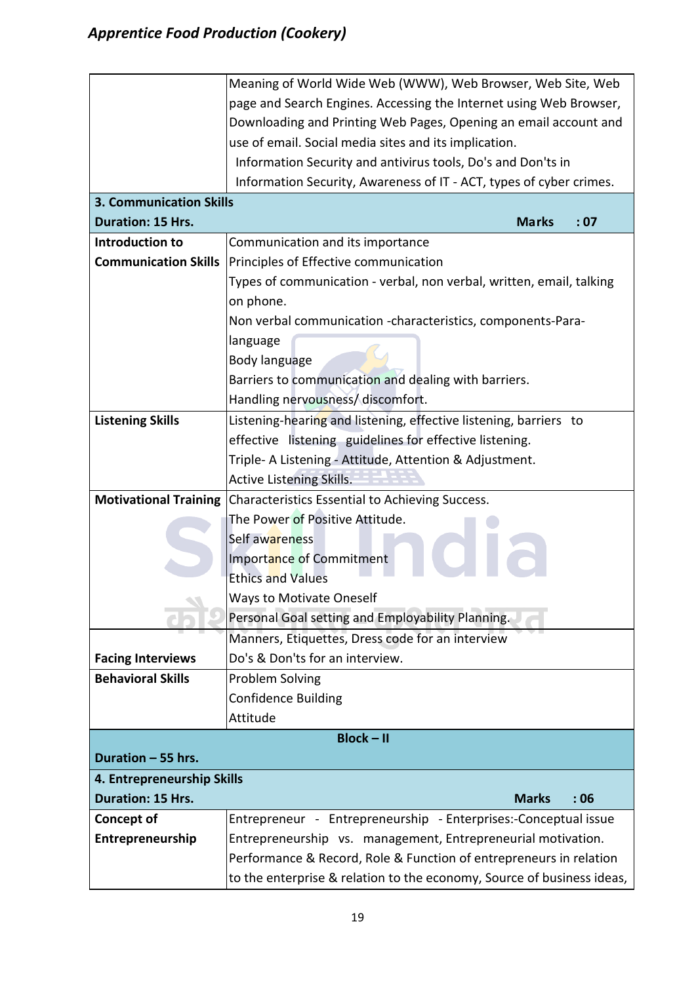| Meaning of World Wide Web (WWW), Web Browser, Web Site, Web        |                                                                        |  |  |  |  |  |  |  |  |
|--------------------------------------------------------------------|------------------------------------------------------------------------|--|--|--|--|--|--|--|--|
|                                                                    | page and Search Engines. Accessing the Internet using Web Browser,     |  |  |  |  |  |  |  |  |
|                                                                    | Downloading and Printing Web Pages, Opening an email account and       |  |  |  |  |  |  |  |  |
|                                                                    | use of email. Social media sites and its implication.                  |  |  |  |  |  |  |  |  |
|                                                                    | Information Security and antivirus tools, Do's and Don'ts in           |  |  |  |  |  |  |  |  |
|                                                                    | Information Security, Awareness of IT - ACT, types of cyber crimes.    |  |  |  |  |  |  |  |  |
| <b>3. Communication Skills</b>                                     |                                                                        |  |  |  |  |  |  |  |  |
| Duration: 15 Hrs.                                                  | <b>Marks</b><br>: 07                                                   |  |  |  |  |  |  |  |  |
| Introduction to                                                    | Communication and its importance                                       |  |  |  |  |  |  |  |  |
| <b>Communication Skills</b>                                        | Principles of Effective communication                                  |  |  |  |  |  |  |  |  |
|                                                                    | Types of communication - verbal, non verbal, written, email, talking   |  |  |  |  |  |  |  |  |
|                                                                    |                                                                        |  |  |  |  |  |  |  |  |
|                                                                    | on phone.                                                              |  |  |  |  |  |  |  |  |
|                                                                    | Non verbal communication -characteristics, components-Para-            |  |  |  |  |  |  |  |  |
|                                                                    | language                                                               |  |  |  |  |  |  |  |  |
|                                                                    | Body language                                                          |  |  |  |  |  |  |  |  |
|                                                                    | Barriers to communication and dealing with barriers.                   |  |  |  |  |  |  |  |  |
|                                                                    | Handling nervousness/discomfort.                                       |  |  |  |  |  |  |  |  |
| <b>Listening Skills</b>                                            | Listening-hearing and listening, effective listening, barriers to      |  |  |  |  |  |  |  |  |
|                                                                    | effective listening guidelines for effective listening.                |  |  |  |  |  |  |  |  |
|                                                                    | Triple- A Listening - Attitude, Attention & Adjustment.                |  |  |  |  |  |  |  |  |
|                                                                    | Active Listening Skills.                                               |  |  |  |  |  |  |  |  |
| <b>Motivational Training</b>                                       | Characteristics Essential to Achieving Success.                        |  |  |  |  |  |  |  |  |
|                                                                    | The Power of Positive Attitude.                                        |  |  |  |  |  |  |  |  |
|                                                                    | Self awareness                                                         |  |  |  |  |  |  |  |  |
|                                                                    | Importance of Commitment                                               |  |  |  |  |  |  |  |  |
|                                                                    | <b>Ethics and Values</b>                                               |  |  |  |  |  |  |  |  |
|                                                                    | <b>Ways to Motivate Oneself</b>                                        |  |  |  |  |  |  |  |  |
|                                                                    | Personal Goal setting and Employability Planning.                      |  |  |  |  |  |  |  |  |
|                                                                    | Manners, Etiquettes, Dress code for an interview                       |  |  |  |  |  |  |  |  |
| <b>Facing Interviews</b>                                           | Do's & Don'ts for an interview.                                        |  |  |  |  |  |  |  |  |
| <b>Behavioral Skills</b>                                           | Problem Solving                                                        |  |  |  |  |  |  |  |  |
|                                                                    | <b>Confidence Building</b>                                             |  |  |  |  |  |  |  |  |
|                                                                    | Attitude                                                               |  |  |  |  |  |  |  |  |
|                                                                    | $Block - II$                                                           |  |  |  |  |  |  |  |  |
| Duration - 55 hrs.                                                 |                                                                        |  |  |  |  |  |  |  |  |
|                                                                    | 4. Entrepreneurship Skills                                             |  |  |  |  |  |  |  |  |
| <b>Duration: 15 Hrs.</b>                                           | :06<br><b>Marks</b>                                                    |  |  |  |  |  |  |  |  |
| <b>Concept of</b>                                                  | Entrepreneur - Entrepreneurship - Enterprises:-Conceptual issue        |  |  |  |  |  |  |  |  |
| Entrepreneurship                                                   | Entrepreneurship vs. management, Entrepreneurial motivation.           |  |  |  |  |  |  |  |  |
| Performance & Record, Role & Function of entrepreneurs in relation |                                                                        |  |  |  |  |  |  |  |  |
|                                                                    | to the enterprise & relation to the economy, Source of business ideas, |  |  |  |  |  |  |  |  |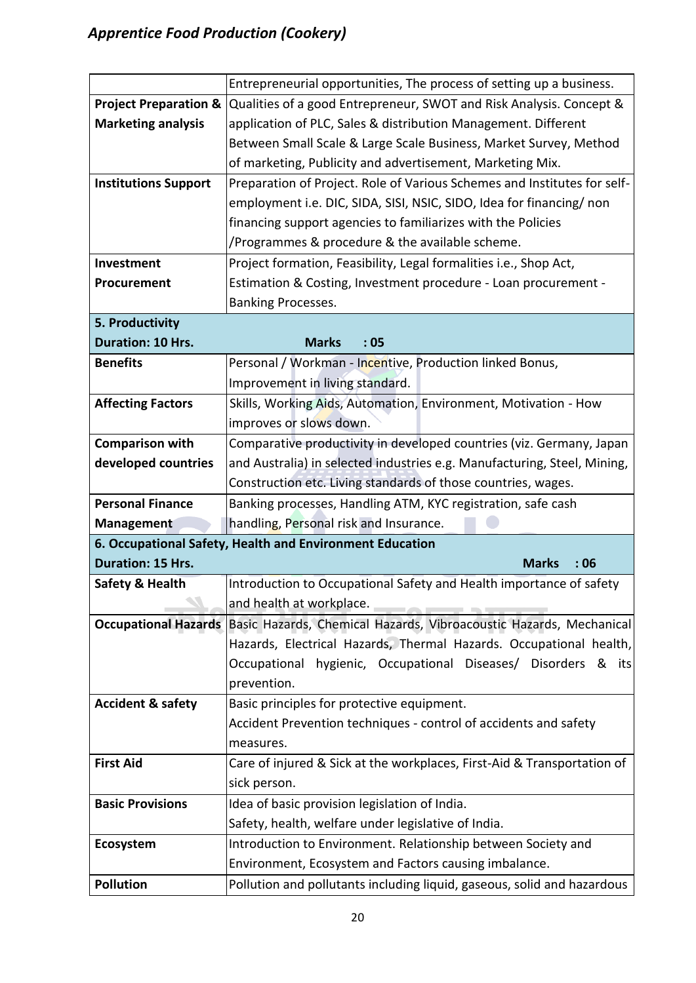|                                                          | Entrepreneurial opportunities, The process of setting up a business.                    |  |  |  |  |  |  |  |
|----------------------------------------------------------|-----------------------------------------------------------------------------------------|--|--|--|--|--|--|--|
| <b>Project Preparation &amp;</b>                         | Qualities of a good Entrepreneur, SWOT and Risk Analysis. Concept &                     |  |  |  |  |  |  |  |
| <b>Marketing analysis</b>                                | application of PLC, Sales & distribution Management. Different                          |  |  |  |  |  |  |  |
|                                                          | Between Small Scale & Large Scale Business, Market Survey, Method                       |  |  |  |  |  |  |  |
|                                                          | of marketing, Publicity and advertisement, Marketing Mix.                               |  |  |  |  |  |  |  |
| <b>Institutions Support</b>                              | Preparation of Project. Role of Various Schemes and Institutes for self-                |  |  |  |  |  |  |  |
|                                                          | employment i.e. DIC, SIDA, SISI, NSIC, SIDO, Idea for financing/ non                    |  |  |  |  |  |  |  |
|                                                          | financing support agencies to familiarizes with the Policies                            |  |  |  |  |  |  |  |
|                                                          | /Programmes & procedure & the available scheme.                                         |  |  |  |  |  |  |  |
| Investment                                               | Project formation, Feasibility, Legal formalities i.e., Shop Act,                       |  |  |  |  |  |  |  |
| Procurement                                              | Estimation & Costing, Investment procedure - Loan procurement -                         |  |  |  |  |  |  |  |
|                                                          | Banking Processes.                                                                      |  |  |  |  |  |  |  |
| 5. Productivity                                          |                                                                                         |  |  |  |  |  |  |  |
| <b>Duration: 10 Hrs.</b>                                 | <b>Marks</b><br>:05                                                                     |  |  |  |  |  |  |  |
| <b>Benefits</b>                                          | Personal / Workman - Incentive, Production linked Bonus,                                |  |  |  |  |  |  |  |
|                                                          | Improvement in living standard.                                                         |  |  |  |  |  |  |  |
| <b>Affecting Factors</b>                                 | Skills, Working Aids, Automation, Environment, Motivation - How                         |  |  |  |  |  |  |  |
|                                                          | improves or slows down.                                                                 |  |  |  |  |  |  |  |
| <b>Comparison with</b>                                   | Comparative productivity in developed countries (viz. Germany, Japan                    |  |  |  |  |  |  |  |
| developed countries                                      | and Australia) in selected industries e.g. Manufacturing, Steel, Mining,                |  |  |  |  |  |  |  |
|                                                          | Construction etc. Living standards of those countries, wages.                           |  |  |  |  |  |  |  |
| <b>Personal Finance</b>                                  | Banking processes, Handling ATM, KYC registration, safe cash                            |  |  |  |  |  |  |  |
| Management                                               | handling, Personal risk and Insurance.                                                  |  |  |  |  |  |  |  |
| 6. Occupational Safety, Health and Environment Education |                                                                                         |  |  |  |  |  |  |  |
|                                                          |                                                                                         |  |  |  |  |  |  |  |
| <b>Duration: 15 Hrs.</b>                                 | <b>Marks</b><br>:06                                                                     |  |  |  |  |  |  |  |
| <b>Safety &amp; Health</b>                               | Introduction to Occupational Safety and Health importance of safety                     |  |  |  |  |  |  |  |
|                                                          | and health at workplace.                                                                |  |  |  |  |  |  |  |
|                                                          | Occupational Hazards Basic Hazards, Chemical Hazards, Vibroacoustic Hazards, Mechanical |  |  |  |  |  |  |  |
|                                                          | Hazards, Electrical Hazards, Thermal Hazards. Occupational health,                      |  |  |  |  |  |  |  |
|                                                          | Occupational hygienic, Occupational Diseases/ Disorders &<br>its                        |  |  |  |  |  |  |  |
|                                                          | prevention.                                                                             |  |  |  |  |  |  |  |
| <b>Accident &amp; safety</b>                             | Basic principles for protective equipment.                                              |  |  |  |  |  |  |  |
|                                                          | Accident Prevention techniques - control of accidents and safety                        |  |  |  |  |  |  |  |
|                                                          | measures.                                                                               |  |  |  |  |  |  |  |
| <b>First Aid</b>                                         | Care of injured & Sick at the workplaces, First-Aid & Transportation of                 |  |  |  |  |  |  |  |
|                                                          | sick person.                                                                            |  |  |  |  |  |  |  |
| <b>Basic Provisions</b>                                  | Idea of basic provision legislation of India.                                           |  |  |  |  |  |  |  |
|                                                          | Safety, health, welfare under legislative of India.                                     |  |  |  |  |  |  |  |
| Ecosystem                                                | Introduction to Environment. Relationship between Society and                           |  |  |  |  |  |  |  |
|                                                          | Environment, Ecosystem and Factors causing imbalance.                                   |  |  |  |  |  |  |  |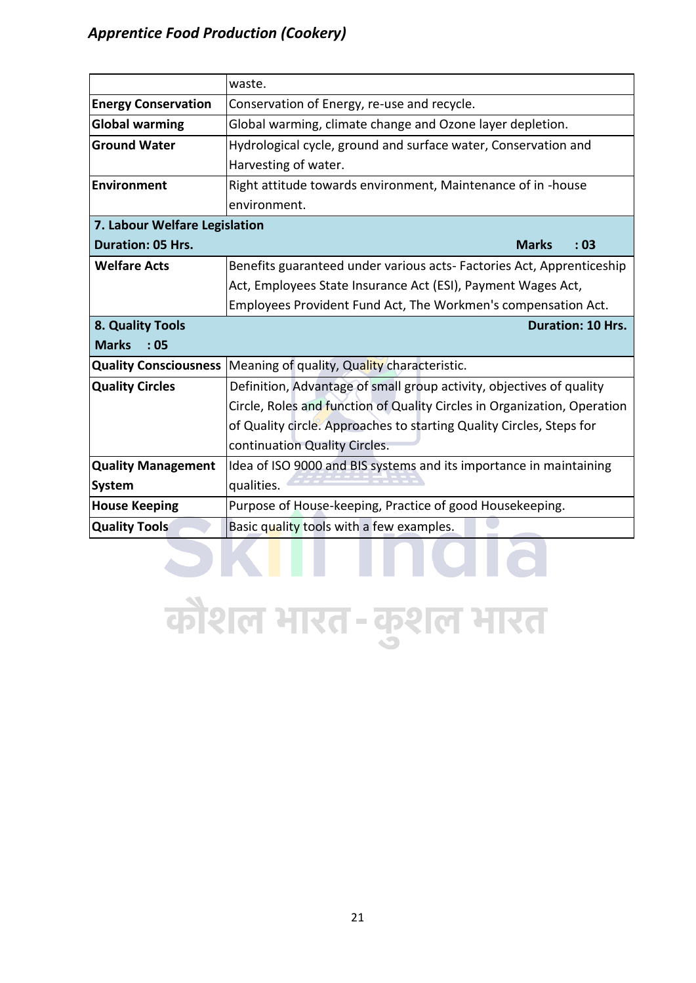|                                              | waste.                                                                   |  |  |  |  |  |  |  |
|----------------------------------------------|--------------------------------------------------------------------------|--|--|--|--|--|--|--|
| <b>Energy Conservation</b>                   | Conservation of Energy, re-use and recycle.                              |  |  |  |  |  |  |  |
| <b>Global warming</b>                        | Global warming, climate change and Ozone layer depletion.                |  |  |  |  |  |  |  |
| <b>Ground Water</b>                          | Hydrological cycle, ground and surface water, Conservation and           |  |  |  |  |  |  |  |
|                                              | Harvesting of water.                                                     |  |  |  |  |  |  |  |
| <b>Environment</b>                           | Right attitude towards environment, Maintenance of in -house             |  |  |  |  |  |  |  |
|                                              | environment.                                                             |  |  |  |  |  |  |  |
| 7. Labour Welfare Legislation                |                                                                          |  |  |  |  |  |  |  |
| <b>Duration: 05 Hrs.</b>                     | <b>Marks</b><br>:03                                                      |  |  |  |  |  |  |  |
| <b>Welfare Acts</b>                          | Benefits guaranteed under various acts- Factories Act, Apprenticeship    |  |  |  |  |  |  |  |
|                                              | Act, Employees State Insurance Act (ESI), Payment Wages Act,             |  |  |  |  |  |  |  |
|                                              | Employees Provident Fund Act, The Workmen's compensation Act.            |  |  |  |  |  |  |  |
| 8. Quality Tools<br><b>Duration: 10 Hrs.</b> |                                                                          |  |  |  |  |  |  |  |
| <b>Marks</b><br>:05                          |                                                                          |  |  |  |  |  |  |  |
|                                              | <b>Quality Consciousness</b> Meaning of quality, Quality characteristic. |  |  |  |  |  |  |  |
| <b>Quality Circles</b>                       | Definition, Advantage of small group activity, objectives of quality     |  |  |  |  |  |  |  |
|                                              | Circle, Roles and function of Quality Circles in Organization, Operation |  |  |  |  |  |  |  |
|                                              | of Quality circle. Approaches to starting Quality Circles, Steps for     |  |  |  |  |  |  |  |
|                                              | continuation Quality Circles.                                            |  |  |  |  |  |  |  |
| <b>Quality Management</b>                    | Idea of ISO 9000 and BIS systems and its importance in maintaining       |  |  |  |  |  |  |  |
| <b>System</b>                                | qualities.                                                               |  |  |  |  |  |  |  |
| <b>House Keeping</b>                         | Purpose of House-keeping, Practice of good Housekeeping.                 |  |  |  |  |  |  |  |
| <b>Quality Tools</b>                         | Basic quality tools with a few examples.                                 |  |  |  |  |  |  |  |

कौशल भारत-कुशल भारत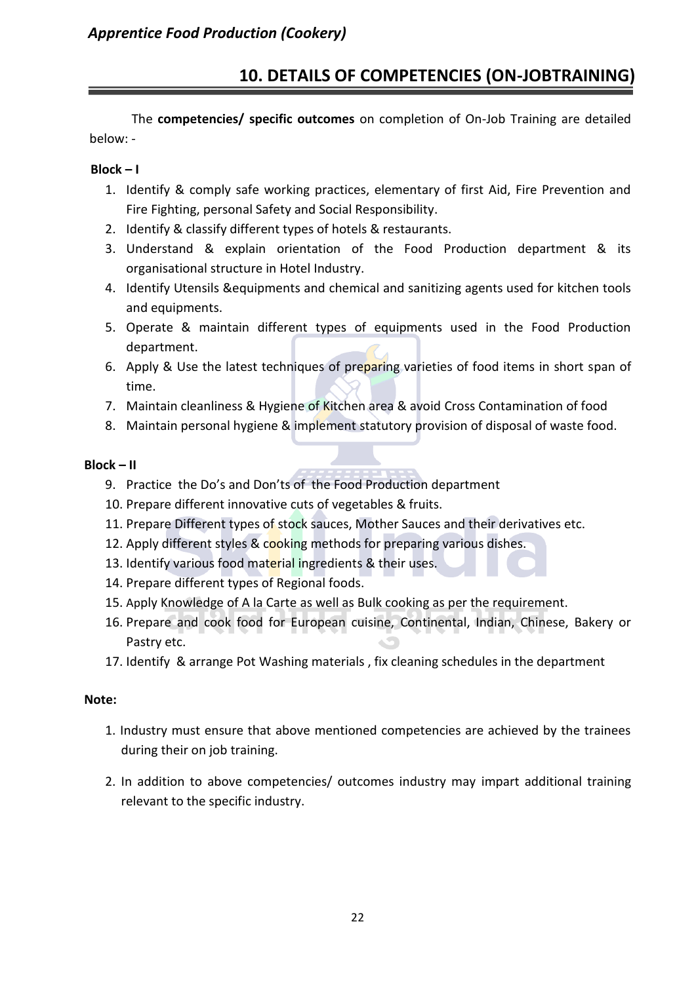# **10. DETAILS OF COMPETENCIES (ON-JOBTRAINING)**

The **competencies/ specific outcomes** on completion of On-Job Training are detailed below: -

#### **Block – I**

- 1. Identify & comply safe working practices, elementary of first Aid, Fire Prevention and Fire Fighting, personal Safety and Social Responsibility.
- 2. Identify & classify different types of hotels & restaurants.
- 3. Understand & explain orientation of the Food Production department & its organisational structure in Hotel Industry.
- 4. Identify Utensils &equipments and chemical and sanitizing agents used for kitchen tools and equipments.
- 5. Operate & maintain different types of equipments used in the Food Production department.
- 6. Apply & Use the latest techniques of preparing varieties of food items in short span of time.
- 7. Maintain cleanliness & Hygiene of Kitchen area & avoid Cross Contamination of food
- 8. Maintain personal hygiene & implement statutory provision of disposal of waste food.

#### **Block – II**

- 9. Practice the Do's and Don'ts of the Food Production department
- 10. Prepare different innovative cuts of vegetables & fruits.
- 11. Prepare Different types of stock sauces, Mother Sauces and their derivatives etc.
- 12. Apply different styles & cooking methods for preparing various dishes.
- 13. Identify various food material ingredients & their uses.
- 14. Prepare different types of Regional foods.
- 15. Apply Knowledge of A la Carte as well as Bulk cooking as per the requirement.
- 16. Prepare and cook food for European cuisine, Continental, Indian, Chinese, Bakery or Pastry etc.
- 17. Identify & arrange Pot Washing materials , fix cleaning schedules in the department

#### **Note:**

- 1. Industry must ensure that above mentioned competencies are achieved by the trainees during their on job training.
- 2. In addition to above competencies/ outcomes industry may impart additional training relevant to the specific industry.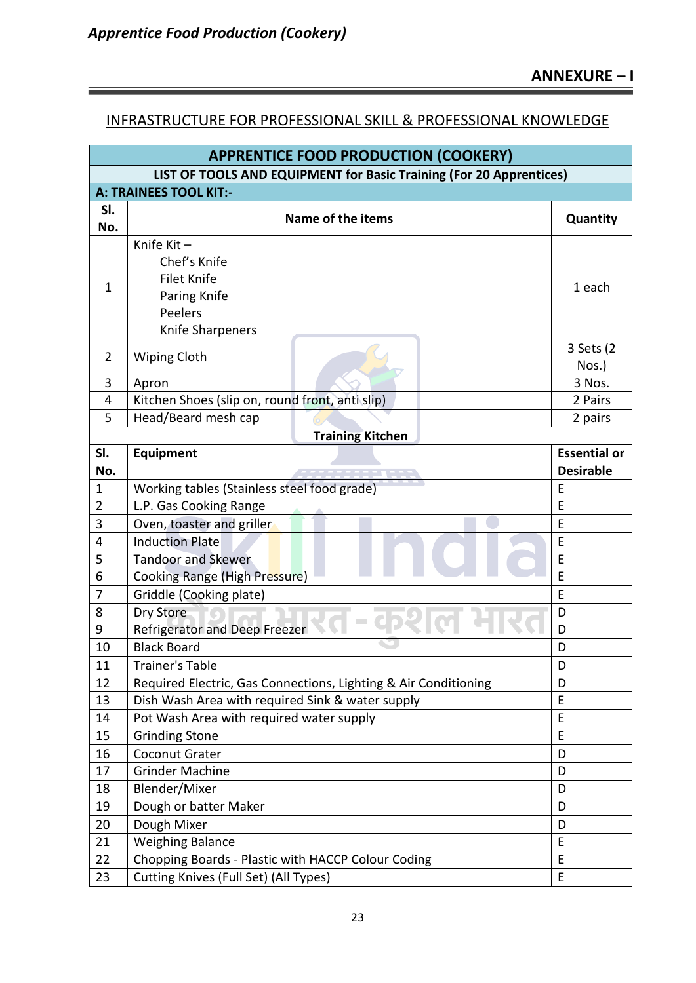<u> Liste de la construcción de la construcción de la construcción de la construcción de la construcción de la c</u>

#### INFRASTRUCTURE FOR PROFESSIONAL SKILL & PROFESSIONAL KNOWLEDGE

| <b>APPRENTICE FOOD PRODUCTION (COOKERY)</b>                         |                                                                 |                     |  |  |  |  |  |
|---------------------------------------------------------------------|-----------------------------------------------------------------|---------------------|--|--|--|--|--|
| LIST OF TOOLS AND EQUIPMENT for Basic Training (For 20 Apprentices) |                                                                 |                     |  |  |  |  |  |
| A: TRAINEES TOOL KIT:-                                              |                                                                 |                     |  |  |  |  |  |
| SI.                                                                 | Name of the items                                               |                     |  |  |  |  |  |
| No.                                                                 |                                                                 | Quantity            |  |  |  |  |  |
|                                                                     | Knife $Kit -$<br>Chef's Knife                                   |                     |  |  |  |  |  |
|                                                                     | <b>Filet Knife</b>                                              |                     |  |  |  |  |  |
| $\mathbf{1}$                                                        | Paring Knife                                                    | 1 each              |  |  |  |  |  |
|                                                                     | Peelers                                                         |                     |  |  |  |  |  |
|                                                                     | Knife Sharpeners                                                |                     |  |  |  |  |  |
|                                                                     |                                                                 | 3 Sets (2)          |  |  |  |  |  |
| $\overline{2}$                                                      | <b>Wiping Cloth</b>                                             | Nos.)               |  |  |  |  |  |
| 3                                                                   | Apron                                                           | 3 Nos.              |  |  |  |  |  |
| 4                                                                   | Kitchen Shoes (slip on, round front, anti slip)                 | 2 Pairs             |  |  |  |  |  |
| 5                                                                   | Head/Beard mesh cap                                             | 2 pairs             |  |  |  |  |  |
|                                                                     | <b>Training Kitchen</b>                                         |                     |  |  |  |  |  |
| SI.                                                                 | Equipment                                                       | <b>Essential or</b> |  |  |  |  |  |
| No.                                                                 |                                                                 | <b>Desirable</b>    |  |  |  |  |  |
| $\mathbf{1}$                                                        | Working tables (Stainless steel food grade)                     | E                   |  |  |  |  |  |
| $\overline{2}$                                                      | L.P. Gas Cooking Range                                          | E                   |  |  |  |  |  |
| 3                                                                   | Oven, toaster and griller                                       | E                   |  |  |  |  |  |
| 4                                                                   | <b>Induction Plate</b>                                          | E<br>E              |  |  |  |  |  |
| 5                                                                   | <b>Tandoor and Skewer</b>                                       |                     |  |  |  |  |  |
| 6                                                                   | <b>Cooking Range (High Pressure)</b>                            |                     |  |  |  |  |  |
| 7                                                                   | Griddle (Cooking plate)                                         |                     |  |  |  |  |  |
| 8                                                                   | Dry Store                                                       |                     |  |  |  |  |  |
| 9                                                                   | Refrigerator and Deep Freezer                                   |                     |  |  |  |  |  |
| 10                                                                  | <b>Black Board</b>                                              |                     |  |  |  |  |  |
| 11                                                                  | Trainer's Table                                                 | D                   |  |  |  |  |  |
| 12                                                                  | Required Electric, Gas Connections, Lighting & Air Conditioning | D                   |  |  |  |  |  |
| 13                                                                  | Dish Wash Area with required Sink & water supply                | E                   |  |  |  |  |  |
| 14                                                                  | Pot Wash Area with required water supply                        | E                   |  |  |  |  |  |
| 15                                                                  | <b>Grinding Stone</b>                                           | E                   |  |  |  |  |  |
| 16                                                                  | Coconut Grater                                                  | D                   |  |  |  |  |  |
| 17                                                                  | <b>Grinder Machine</b>                                          | D                   |  |  |  |  |  |
| 18                                                                  | Blender/Mixer                                                   | D                   |  |  |  |  |  |
| 19                                                                  | Dough or batter Maker                                           | D                   |  |  |  |  |  |
| 20                                                                  | Dough Mixer                                                     | D<br>E              |  |  |  |  |  |
| 21                                                                  | <b>Weighing Balance</b>                                         |                     |  |  |  |  |  |
| 22                                                                  | Chopping Boards - Plastic with HACCP Colour Coding              |                     |  |  |  |  |  |
| 23                                                                  | Cutting Knives (Full Set) (All Types)                           | E                   |  |  |  |  |  |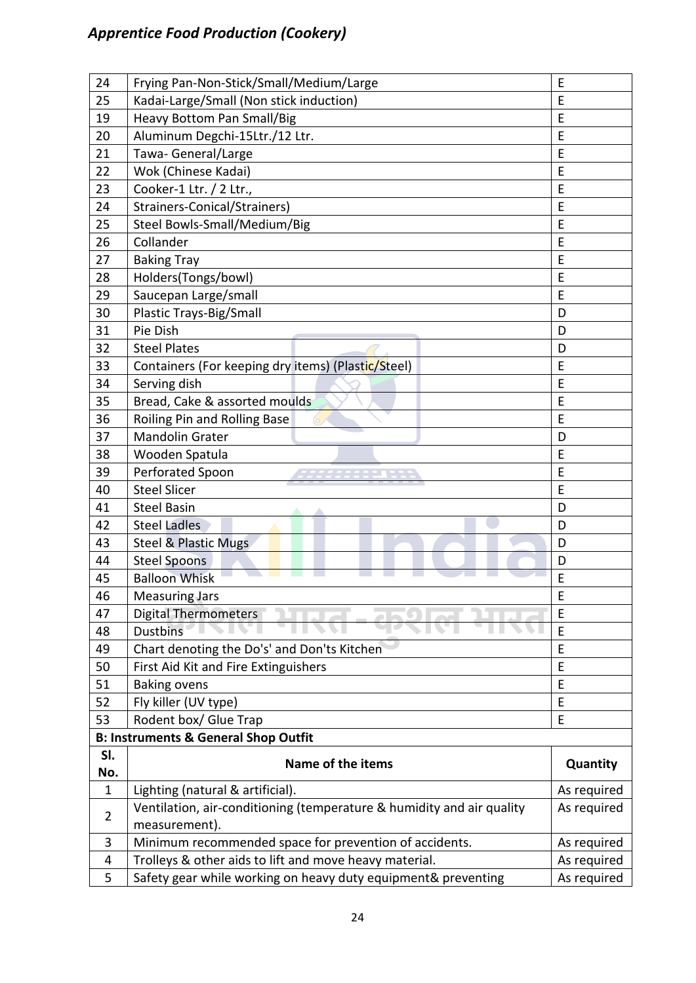| 24             | Frying Pan-Non-Stick/Small/Medium/Large                               |             |  |  |  |  |
|----------------|-----------------------------------------------------------------------|-------------|--|--|--|--|
| 25             | Kadai-Large/Small (Non stick induction)                               | E           |  |  |  |  |
| 19             | <b>Heavy Bottom Pan Small/Big</b>                                     | E           |  |  |  |  |
| 20             | Aluminum Degchi-15Ltr./12 Ltr.                                        | E           |  |  |  |  |
| 21             | Tawa- General/Large                                                   | E           |  |  |  |  |
| 22             | Wok (Chinese Kadai)                                                   | E           |  |  |  |  |
| 23             | Cooker-1 Ltr. / 2 Ltr.,                                               | E           |  |  |  |  |
| 24             | <b>Strainers-Conical/Strainers)</b>                                   | E           |  |  |  |  |
| 25             | Steel Bowls-Small/Medium/Big                                          | E           |  |  |  |  |
| 26             | Collander                                                             | Е           |  |  |  |  |
| 27             | <b>Baking Tray</b>                                                    | E           |  |  |  |  |
| 28             | Holders(Tongs/bowl)                                                   | E           |  |  |  |  |
| 29             | Saucepan Large/small                                                  | E           |  |  |  |  |
| 30             | Plastic Trays-Big/Small                                               | D           |  |  |  |  |
| 31             | Pie Dish                                                              | D           |  |  |  |  |
| 32             | <b>Steel Plates</b>                                                   | D           |  |  |  |  |
| 33             | Containers (For keeping dry items) (Plastic/Steel)                    | E           |  |  |  |  |
| 34             | Serving dish                                                          | E           |  |  |  |  |
| 35             | Bread, Cake & assorted moulds                                         | E           |  |  |  |  |
| 36             | Roiling Pin and Rolling Base                                          | E           |  |  |  |  |
| 37             | <b>Mandolin Grater</b>                                                | D           |  |  |  |  |
| 38             | Wooden Spatula                                                        | E           |  |  |  |  |
| 39             | Perforated Spoon                                                      | E           |  |  |  |  |
| 40             | <b>Steel Slicer</b>                                                   | E           |  |  |  |  |
| 41             | <b>Steel Basin</b>                                                    | D           |  |  |  |  |
| 42             | <b>Steel Ladles</b>                                                   | D           |  |  |  |  |
| 43             | <b>Steel &amp; Plastic Mugs</b>                                       | D           |  |  |  |  |
| 44             | <b>Steel Spoons</b>                                                   | D           |  |  |  |  |
| 45             | <b>Balloon Whisk</b>                                                  | Ε           |  |  |  |  |
| 46             | <b>Measuring Jars</b>                                                 | E           |  |  |  |  |
| 47             | <b>Digital Thermometers</b>                                           | E           |  |  |  |  |
| 48             | <b>Dustbins</b>                                                       | E           |  |  |  |  |
| 49             | Chart denoting the Do's' and Don'ts Kitchen                           | E           |  |  |  |  |
| 50             | First Aid Kit and Fire Extinguishers                                  | E           |  |  |  |  |
| 51             | <b>Baking ovens</b>                                                   | E           |  |  |  |  |
| 52             | Fly killer (UV type)                                                  | E           |  |  |  |  |
|                |                                                                       |             |  |  |  |  |
| 53             | Rodent box/ Glue Trap                                                 | E           |  |  |  |  |
|                | <b>B: Instruments &amp; General Shop Outfit</b>                       |             |  |  |  |  |
| SI.            |                                                                       |             |  |  |  |  |
| No.            | Name of the items                                                     | Quantity    |  |  |  |  |
| $\mathbf{1}$   | Lighting (natural & artificial).                                      | As required |  |  |  |  |
|                | Ventilation, air-conditioning (temperature & humidity and air quality | As required |  |  |  |  |
| $\overline{2}$ | measurement).                                                         |             |  |  |  |  |
| 3              | Minimum recommended space for prevention of accidents.                | As required |  |  |  |  |
| 4              | Trolleys & other aids to lift and move heavy material.                | As required |  |  |  |  |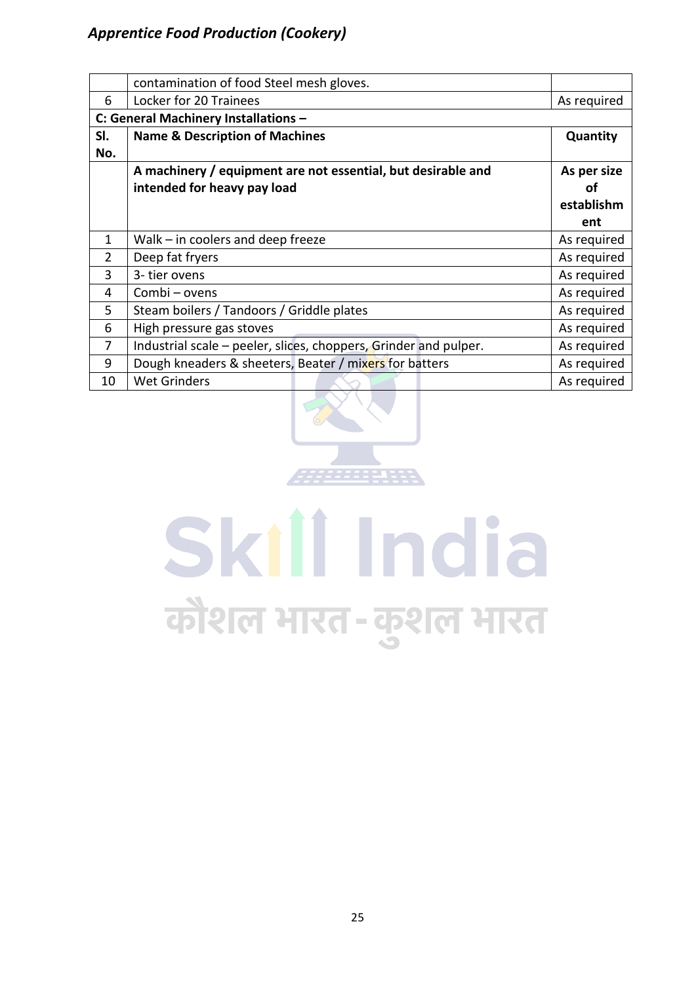|                | contamination of food Steel mesh gloves.                         |             |  |  |  |  |  |
|----------------|------------------------------------------------------------------|-------------|--|--|--|--|--|
| 6              | Locker for 20 Trainees                                           |             |  |  |  |  |  |
|                | C: General Machinery Installations -                             |             |  |  |  |  |  |
| SI.            | <b>Name &amp; Description of Machines</b>                        | Quantity    |  |  |  |  |  |
| No.            |                                                                  |             |  |  |  |  |  |
|                | A machinery / equipment are not essential, but desirable and     | As per size |  |  |  |  |  |
|                | intended for heavy pay load                                      | οf          |  |  |  |  |  |
|                |                                                                  | establishm  |  |  |  |  |  |
|                |                                                                  | ent         |  |  |  |  |  |
| 1              | Walk $-$ in coolers and deep freeze                              | As required |  |  |  |  |  |
| $\overline{2}$ | Deep fat fryers                                                  | As required |  |  |  |  |  |
| 3              | 3-tier ovens                                                     | As required |  |  |  |  |  |
| 4              | Combi - ovens                                                    | As required |  |  |  |  |  |
| 5              | Steam boilers / Tandoors / Griddle plates                        | As required |  |  |  |  |  |
| 6              | High pressure gas stoves                                         | As required |  |  |  |  |  |
| 7              | Industrial scale – peeler, slices, choppers, Grinder and pulper. | As required |  |  |  |  |  |
| 9              | Dough kneaders & sheeters, Beater / mixers for batters           | As required |  |  |  |  |  |
| 10             | <b>Wet Grinders</b>                                              | As required |  |  |  |  |  |
|                |                                                                  |             |  |  |  |  |  |



# Skill India कौशल भारत-कुशल भारत